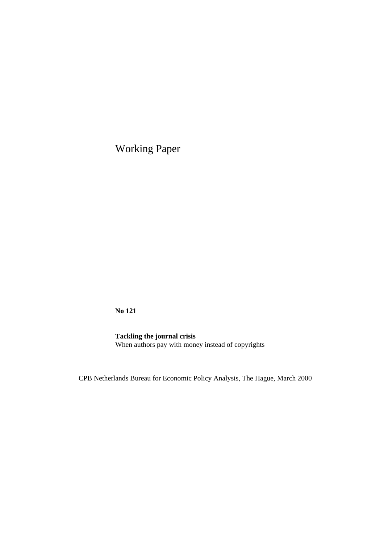Working Paper

**No 121**

**Tackling the journal crisis** When authors pay with money instead of copyrights

CPB Netherlands Bureau for Economic Policy Analysis, The Hague, March 2000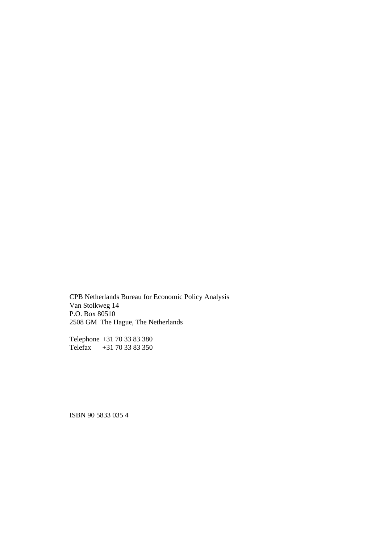CPB Netherlands Bureau for Economic Policy Analysis Van Stolkweg 14 P.O. Box 80510 2508 GM The Hague, The Netherlands

Telephone +31 70 33 83 380 Telefax +31 70 33 83 350

ISBN 90 5833 035 4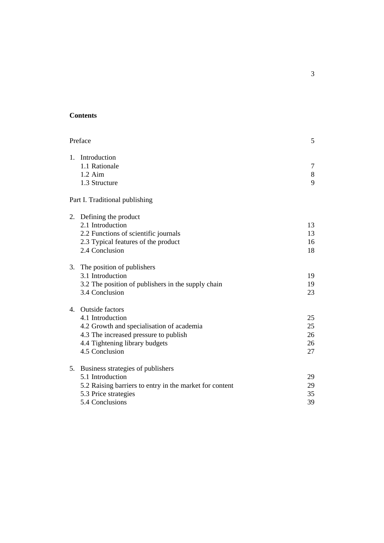## **Contents**

| Preface |                                                                                                                                                                                      |                            |
|---------|--------------------------------------------------------------------------------------------------------------------------------------------------------------------------------------|----------------------------|
|         | 1. Introduction<br>1.1 Rationale<br>$1.2$ Aim<br>1.3 Structure                                                                                                                       | 7<br>$8\,$<br>9            |
|         | Part I. Traditional publishing                                                                                                                                                       |                            |
|         | 2. Defining the product<br>2.1 Introduction<br>2.2 Functions of scientific journals<br>2.3 Typical features of the product<br>2.4 Conclusion                                         | 13<br>13<br>16<br>18       |
| 3.      | The position of publishers<br>3.1 Introduction<br>3.2 The position of publishers in the supply chain<br>3.4 Conclusion                                                               | 19<br>19<br>23             |
| 4.      | <b>Outside factors</b><br>4.1 Introduction<br>4.2 Growth and specialisation of academia<br>4.3 The increased pressure to publish<br>4.4 Tightening library budgets<br>4.5 Conclusion | 25<br>25<br>26<br>26<br>27 |
| 5.      | Business strategies of publishers<br>5.1 Introduction<br>5.2 Raising barriers to entry in the market for content<br>5.3 Price strategies<br>5.4 Conclusions                          | 29<br>29<br>35<br>39       |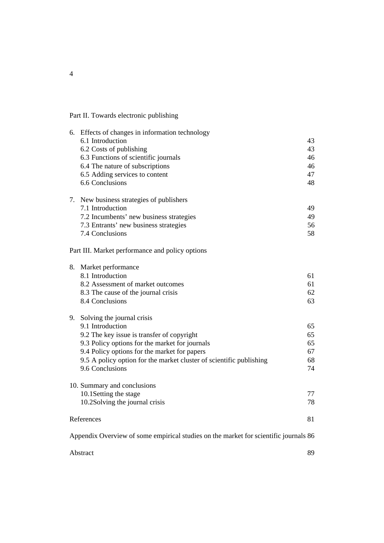# Part II. Towards electronic publishing

|    | 6. Effects of changes in information technology                                      |    |
|----|--------------------------------------------------------------------------------------|----|
|    | 6.1 Introduction                                                                     | 43 |
|    | 6.2 Costs of publishing                                                              | 43 |
|    | 6.3 Functions of scientific journals                                                 | 46 |
|    | 6.4 The nature of subscriptions                                                      | 46 |
|    | 6.5 Adding services to content                                                       | 47 |
|    | 6.6 Conclusions                                                                      | 48 |
|    |                                                                                      |    |
|    | 7. New business strategies of publishers                                             |    |
|    | 7.1 Introduction                                                                     | 49 |
|    | 7.2 Incumbents' new business strategies                                              | 49 |
|    | 7.3 Entrants' new business strategies                                                | 56 |
|    | 7.4 Conclusions                                                                      | 58 |
|    |                                                                                      |    |
|    | Part III. Market performance and policy options                                      |    |
| 8. | Market performance                                                                   |    |
|    | 8.1 Introduction                                                                     | 61 |
|    | 8.2 Assessment of market outcomes                                                    | 61 |
|    | 8.3 The cause of the journal crisis                                                  | 62 |
|    | 8.4 Conclusions                                                                      | 63 |
|    |                                                                                      |    |
| 9. | Solving the journal crisis                                                           |    |
|    | 9.1 Introduction                                                                     | 65 |
|    | 9.2 The key issue is transfer of copyright                                           | 65 |
|    | 9.3 Policy options for the market for journals                                       | 65 |
|    | 9.4 Policy options for the market for papers                                         | 67 |
|    | 9.5 A policy option for the market cluster of scientific publishing                  | 68 |
|    | 9.6 Conclusions                                                                      | 74 |
|    | 10. Summary and conclusions                                                          |    |
|    | 10.1Setting the stage                                                                | 77 |
|    | 10.2Solving the journal crisis                                                       | 78 |
|    |                                                                                      |    |
|    | References                                                                           | 81 |
|    | Appendix Overview of some empirical studies on the market for scientific journals 86 |    |
|    |                                                                                      |    |
|    | Abstract                                                                             | 89 |

4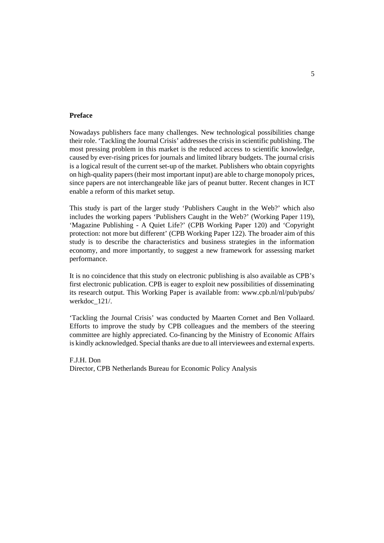#### **Preface**

Nowadays publishers face many challenges. New technological possibilities change their role. 'Tackling the Journal Crisis' addresses the crisis in scientific publishing. The most pressing problem in this market is the reduced access to scientific knowledge, caused by ever-rising prices for journals and limited library budgets. The journal crisis is a logical result of the current set-up of the market. Publishers who obtain copyrights on high-quality papers (their most important input) are able to charge monopoly prices, since papers are not interchangeable like jars of peanut butter. Recent changes in ICT enable a reform of this market setup.

This study is part of the larger study 'Publishers Caught in the Web?' which also includes the working papers 'Publishers Caught in the Web?' (Working Paper 119), 'Magazine Publishing - A Quiet Life?' (CPB Working Paper 120) and 'Copyright protection: not more but different' (CPB Working Paper 122). The broader aim of this study is to describe the characteristics and business strategies in the information economy, and more importantly, to suggest a new framework for assessing market performance.

It is no coincidence that this study on electronic publishing is also available as CPB's first electronic publication. CPB is eager to exploit new possibilities of disseminating its research output. This Working Paper is available from: www.cpb.nl/nl/pub/pubs/ werkdoc\_121/.

'Tackling the Journal Crisis' was conducted by Maarten Cornet and Ben Vollaard. Efforts to improve the study by CPB colleagues and the members of the steering committee are highly appreciated. Co-financing by the Ministry of Economic Affairs is kindly acknowledged. Special thanks are due to all interviewees and external experts.

F.J.H. Don Director, CPB Netherlands Bureau for Economic Policy Analysis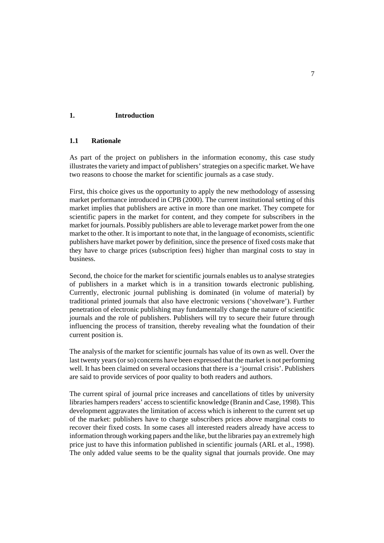### **1. Introduction**

### **1.1 Rationale**

As part of the project on publishers in the information economy, this case study illustrates the variety and impact of publishers' strategies on a specific market. We have two reasons to choose the market for scientific journals as a case study.

First, this choice gives us the opportunity to apply the new methodology of assessing market performance introduced in CPB (2000). The current institutional setting of this market implies that publishers are active in more than one market. They compete for scientific papers in the market for content, and they compete for subscribers in the market for journals. Possibly publishers are able to leverage market power from the one market to the other. It is important to note that, in the language of economists, scientific publishers have market power by definition, since the presence of fixed costs make that they have to charge prices (subscription fees) higher than marginal costs to stay in business.

Second, the choice for the market for scientific journals enables us to analyse strategies of publishers in a market which is in a transition towards electronic publishing. Currently, electronic journal publishing is dominated (in volume of material) by traditional printed journals that also have electronic versions ('shovelware'). Further penetration of electronic publishing may fundamentally change the nature of scientific journals and the role of publishers. Publishers will try to secure their future through influencing the process of transition, thereby revealing what the foundation of their current position is.

The analysis of the market for scientific journals has value of its own as well. Over the last twenty years (or so) concerns have been expressed that the market is not performing well. It has been claimed on several occasions that there is a 'journal crisis'. Publishers are said to provide services of poor quality to both readers and authors.

The current spiral of journal price increases and cancellations of titles by university libraries hampers readers' access to scientific knowledge (Branin and Case, 1998). This development aggravates the limitation of access which is inherent to the current set up of the market: publishers have to charge subscribers prices above marginal costs to recover their fixed costs. In some cases all interested readers already have access to information through working papers and the like, but the libraries pay an extremely high price just to have this information published in scientific journals (ARL et al., 1998). The only added value seems to be the quality signal that journals provide. One may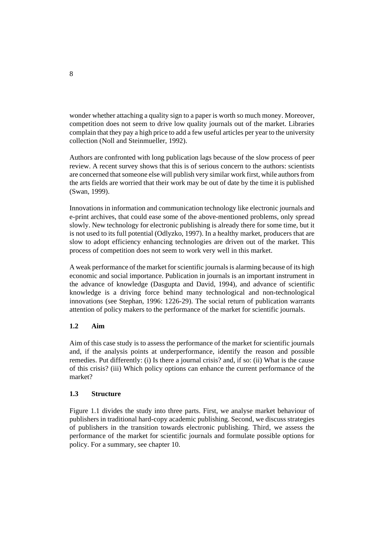wonder whether attaching a quality sign to a paper is worth so much money. Moreover, competition does not seem to drive low quality journals out of the market. Libraries complain that they pay a high price to add a few useful articles per year to the university collection (Noll and Steinmueller, 1992).

Authors are confronted with long publication lags because of the slow process of peer review. A recent survey shows that this is of serious concern to the authors: scientists are concerned that someone else will publish very similar work first, while authors from the arts fields are worried that their work may be out of date by the time it is published (Swan, 1999).

Innovations in information and communication technology like electronic journals and e-print archives, that could ease some of the above-mentioned problems, only spread slowly. New technology for electronic publishing is already there for some time, but it is not used to its full potential (Odlyzko, 1997). In a healthy market, producers that are slow to adopt efficiency enhancing technologies are driven out of the market. This process of competition does not seem to work very well in this market.

A weak performance of the market for scientific journals is alarming because of its high economic and social importance. Publication in journals is an important instrument in the advance of knowledge (Dasgupta and David, 1994), and advance of scientific knowledge is a driving force behind many technological and non-technological innovations (see Stephan, 1996: 1226-29). The social return of publication warrants attention of policy makers to the performance of the market for scientific journals.

# **1.2 Aim**

Aim of this case study is to assess the performance of the market for scientific journals and, if the analysis points at underperformance, identify the reason and possible remedies. Put differently: (i) Is there a journal crisis? and, if so: (ii) What is the cause of this crisis? (iii) Which policy options can enhance the current performance of the market?

### **1.3 Structure**

Figure 1.1 divides the study into three parts. First, we analyse market behaviour of publishers in traditional hard-copy academic publishing. Second, we discuss strategies of publishers in the transition towards electronic publishing. Third, we assess the performance of the market for scientific journals and formulate possible options for policy. For a summary, see chapter 10.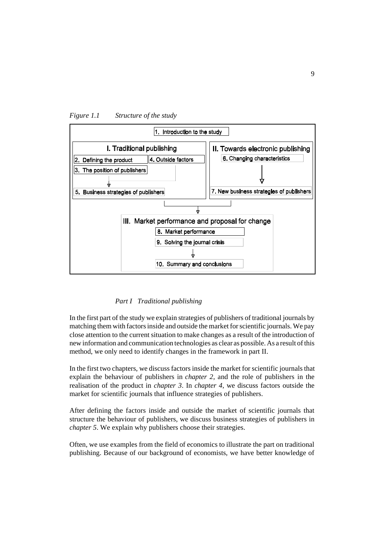



## *Part I Traditional publishing*

In the first part of the study we explain strategies of publishers of traditional journals by matching them with factors inside and outside the market for scientific journals. We pay close attention to the current situation to make changes as a result of the introduction of new information and communication technologies as clear as possible. As a result of this method, we only need to identify changes in the framework in part II.

In the first two chapters, we discuss factors inside the market for scientific journals that explain the behaviour of publishers in *chapter 2,* and the role of publishers in the realisation of the product in *chapter 3*. In *chapter 4*, we discuss factors outside the market for scientific journals that influence strategies of publishers.

After defining the factors inside and outside the market of scientific journals that structure the behaviour of publishers, we discuss business strategies of publishers in *chapter 5*. We explain why publishers choose their strategies.

Often, we use examples from the field of economics to illustrate the part on traditional publishing. Because of our background of economists, we have better knowledge of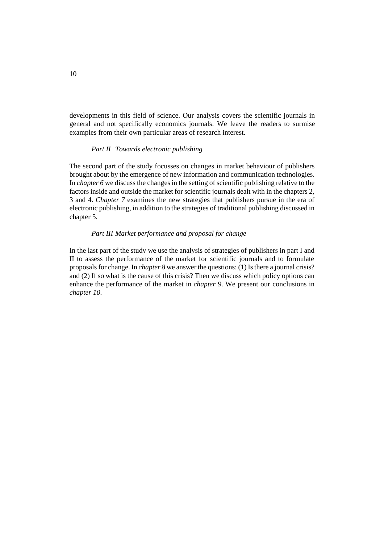developments in this field of science. Our analysis covers the scientific journals in general and not specifically economics journals. We leave the readers to surmise examples from their own particular areas of research interest.

#### *Part II Towards electronic publishing*

The second part of the study focusses on changes in market behaviour of publishers brought about by the emergence of new information and communication technologies. In *chapter 6* we discuss the changes in the setting of scientific publishing relative to the factors inside and outside the market for scientific journals dealt with in the chapters 2, 3 and 4. *Chapter 7* examines the new strategies that publishers pursue in the era of electronic publishing, in addition to the strategies of traditional publishing discussed in chapter 5.

#### *Part III Market performance and proposal for change*

In the last part of the study we use the analysis of strategies of publishers in part I and II to assess the performance of the market for scientific journals and to formulate proposals for change. In *chapter 8* we answer the questions: (1) Is there a journal crisis? and (2) If so what is the cause of this crisis? Then we discuss which policy options can enhance the performance of the market in *chapter 9*. We present our conclusions in *chapter 10*.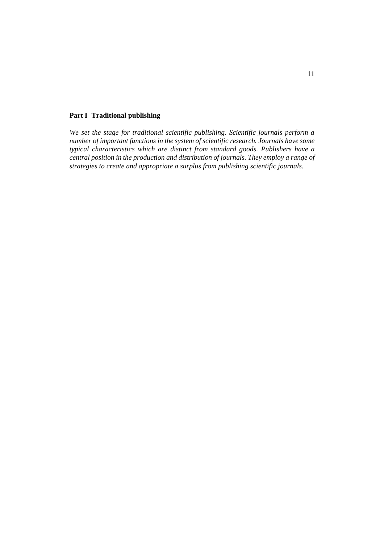#### **Part I Traditional publishing**

*We set the stage for traditional scientific publishing. Scientific journals perform a number of important functions in the system of scientific research. Journals have some typical characteristics which are distinct from standard goods. Publishers have a central position in the production and distribution of journals. They employ a range of strategies to create and appropriate a surplus from publishing scientific journals.*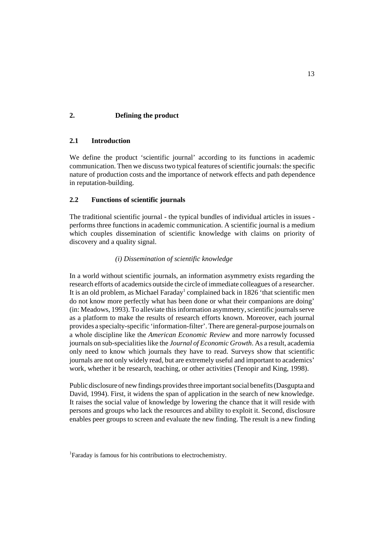# **2. Defining the product**

### **2.1 Introduction**

We define the product 'scientific journal' according to its functions in academic communication. Then we discuss two typical features of scientific journals: the specific nature of production costs and the importance of network effects and path dependence in reputation-building.

#### **2.2 Functions of scientific journals**

The traditional scientific journal - the typical bundles of individual articles in issues performs three functions in academic communication. A scientific journal is a medium which couples dissemination of scientific knowledge with claims on priority of discovery and a quality signal.

#### *(i) Dissemination of scientific knowledge*

In a world without scientific journals, an information asymmetry exists regarding the research efforts of academics outside the circle of immediate colleagues of a researcher. It is an old problem, as Michael Faraday<sup>1</sup> complained back in 1826 'that scientific men do not know more perfectly what has been done or what their companions are doing' (in: Meadows, 1993). To alleviate this information asymmetry, scientific journals serve as a platform to make the results of research efforts known. Moreover, each journal provides a specialty-specific 'information-filter'. There are general-purpose journals on a whole discipline like the *American Economic Review* and more narrowly focussed journals on sub-specialities like the *Journal of Economic Growth*. As a result, academia only need to know which journals they have to read. Surveys show that scientific journals are not only widely read, but are extremely useful and important to academics' work, whether it be research, teaching, or other activities (Tenopir and King, 1998).

Public disclosure of new findings provides three important social benefits (Dasgupta and David, 1994). First, it widens the span of application in the search of new knowledge. It raises the social value of knowledge by lowering the chance that it will reside with persons and groups who lack the resources and ability to exploit it. Second, disclosure enables peer groups to screen and evaluate the new finding. The result is a new finding

<sup>&</sup>lt;sup>1</sup>Faraday is famous for his contributions to electrochemistry.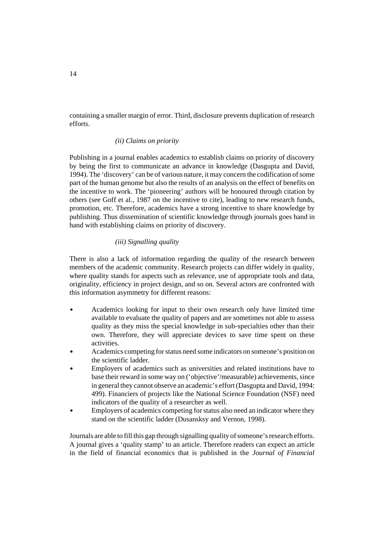containing a smaller margin of error. Third, disclosure prevents duplication of research efforts.

#### *(ii) Claims on priority*

Publishing in a journal enables academics to establish claims on priority of discovery by being the first to communicate an advance in knowledge (Dasgupta and David, 1994). The 'discovery' can be of various nature, it may concern the codification of some part of the human genome but also the results of an analysis on the effect of benefits on the incentive to work. The 'pioneering' authors will be honoured through citation by others (see Goff et al., 1987 on the incentive to cite), leading to new research funds, promotion, etc. Therefore, academics have a strong incentive to share knowledge by publishing. Thus dissemination of scientific knowledge through journals goes hand in hand with establishing claims on priority of discovery.

#### *(iii) Signalling quality*

There is also a lack of information regarding the quality of the research between members of the academic community. Research projects can differ widely in quality, where quality stands for aspects such as relevance, use of appropriate tools and data, originality, efficiency in project design, and so on. Several actors are confronted with this information asymmetry for different reasons:

- $\bullet$  Academics looking for input to their own research only have limited time available to evaluate the quality of papers and are sometimes not able to assess quality as they miss the special knowledge in sub-specialties other than their own. Therefore, they will appreciate devices to save time spent on these activities.
- $\overline{a}$  Academics competing for status need some indicators on someone's position on the scientific ladder.
- $\mathbf{r}$  Employers of academics such as universities and related institutions have to base their reward in some way on ('objective'/measurable) achievements, since in general they cannot observe an academic's effort (Dasgupta and David, 1994: 499). Financiers of projects like the National Science Foundation (NSF) need indicators of the quality of a researcher as well.
- $\overline{a}$  Employers of academics competing for status also need an indicator where they stand on the scientific ladder (Dusansksy and Vernon, 1998).

Journals are able to fill this gap through signalling quality of someone's research efforts. A journal gives a 'quality stamp' to an article. Therefore readers can expect an article in the field of financial economics that is published in the *Journal of Financial*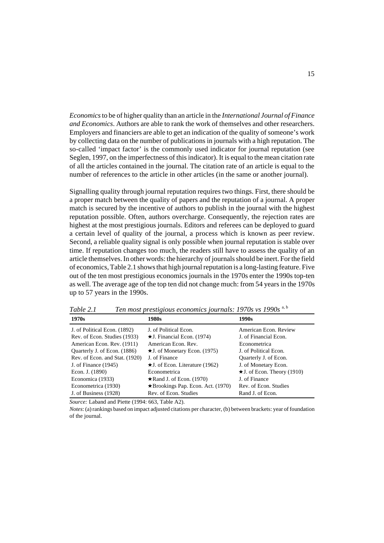*Economics* to be of higher quality than an article in the *International Journal of Finance and Economics*. Authors are able to rank the work of themselves and other researchers. Employers and financiers are able to get an indication of the quality of someone's work by collecting data on the number of publications in journals with a high reputation. The so-called 'impact factor' is the commonly used indicator for journal reputation (see Seglen, 1997, on the imperfectness of this indicator). It is equal to the mean citation rate of all the articles contained in the journal. The citation rate of an article is equal to the number of references to the article in other articles (in the same or another journal).

Signalling quality through journal reputation requires two things. First, there should be a proper match between the quality of papers and the reputation of a journal. A proper match is secured by the incentive of authors to publish in the journal with the highest reputation possible. Often, authors overcharge. Consequently, the rejection rates are highest at the most prestigious journals. Editors and referees can be deployed to guard a certain level of quality of the journal, a process which is known as peer review. Second, a reliable quality signal is only possible when journal reputation is stable over time. If reputation changes too much, the readers still have to assess the quality of an article themselves. In other words: the hierarchy of journals should be inert. For the field of economics, Table 2.1 shows that high journal reputation is a long-lasting feature. Five out of the ten most prestigious economics journals in the 1970s enter the 1990s top-ten as well. The average age of the top ten did not change much: from 54 years in the 1970s up to 57 years in the 1990s.

| 1970s                          | 1980s                                    | 1990s                             |
|--------------------------------|------------------------------------------|-----------------------------------|
| J. of Political Econ. (1892)   | J. of Political Econ.                    | American Econ. Review             |
| Rev. of Econ. Studies (1933)   | $\star$ J. Financial Econ. (1974)        | J. of Financial Econ.             |
| American Econ. Rev. (1911)     | American Econ. Rev.                      | Econometrica                      |
| Quarterly J. of Econ. (1886)   | $\star$ J. of Monetary Econ. (1975)      | J. of Political Econ.             |
| Rev. of Econ. and Stat. (1920) | J. of Finance                            | Quarterly J. of Econ.             |
| J. of Finance $(1945)$         | $\star$ J. of Econ. Literature (1962)    | J. of Monetary Econ.              |
| Econ. J. (1890)                | Econometrica                             | $\star$ J. of Econ. Theory (1910) |
| Economica (1933)               | $\star$ Rand J. of Econ. (1970)          | J. of Finance                     |
| Econometrica (1930)            | $\star$ Brookings Pap. Econ. Act. (1970) | Rev. of Econ. Studies             |
| J. of Business (1928)          | Rev. of Econ. Studies                    | Rand J. of Econ.                  |

*Table 2.1 Ten most prestigious economics journals: 1970s vs 1990s* a, b

*Source:* Laband and Piette (1994: 663, Table A2).

*Notes*: (a) rankings based on impact adjusted citations per character, (b) between brackets: year of foundation of the journal.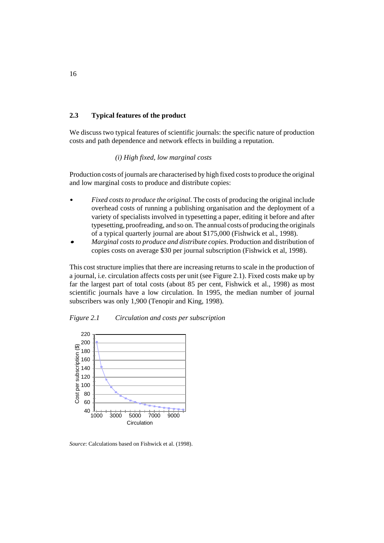#### **2.3 Typical features of the product**

We discuss two typical features of scientific journals: the specific nature of production costs and path dependence and network effects in building a reputation.

#### *(i) High fixed, low marginal costs*

Production costs of journals are characterised by high fixed costs to produce the original and low marginal costs to produce and distribute copies:

- $\overline{a}$  *Fixed costs to produce the original*. The costs of producing the original include overhead costs of running a publishing organisation and the deployment of a variety of specialists involved in typesetting a paper, editing it before and after typesetting, proofreading, and so on. The annual costs of producing the originals of a typical quarterly journal are about \$175,000 (Fishwick et al., 1998).
- $\overline{a}$  *Marginal costs to produce and distribute copies*. Production and distribution of copies costs on average \$30 per journal subscription (Fishwick et al, 1998).

This cost structure implies that there are increasing returns to scale in the production of a journal, i.e. circulation affects costs per unit (see Figure 2.1). Fixed costs make up by far the largest part of total costs (about 85 per cent, Fishwick et al., 1998) as most scientific journals have a low circulation. In 1995, the median number of journal subscribers was only 1,900 (Tenopir and King, 1998).





*Source*: Calculations based on Fishwick et al. (1998).

16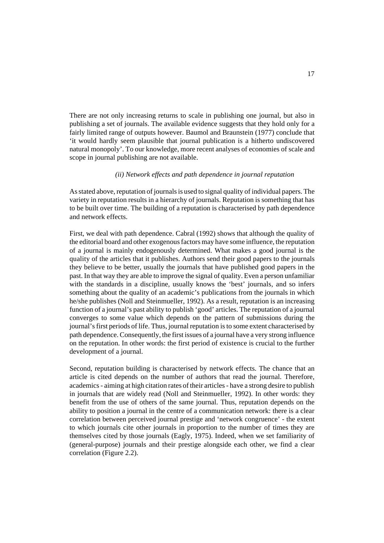There are not only increasing returns to scale in publishing one journal, but also in publishing a set of journals. The available evidence suggests that they hold only for a fairly limited range of outputs however. Baumol and Braunstein (1977) conclude that 'it would hardly seem plausible that journal publication is a hitherto undiscovered natural monopoly'. To our knowledge, more recent analyses of economies of scale and scope in journal publishing are not available.

#### *(ii) Network effects and path dependence in journal reputation*

As stated above, reputation of journals is used to signal quality of individual papers. The variety in reputation results in a hierarchy of journals. Reputation is something that has to be built over time. The building of a reputation is characterised by path dependence and network effects.

First, we deal with path dependence. Cabral (1992) shows that although the quality of the editorial board and other exogenous factors may have some influence, the reputation of a journal is mainly endogenously determined. What makes a good journal is the quality of the articles that it publishes. Authors send their good papers to the journals they believe to be better, usually the journals that have published good papers in the past. In that way they are able to improve the signal of quality. Even a person unfamiliar with the standards in a discipline, usually knows the 'best' journals, and so infers something about the quality of an academic's publications from the journals in which he/she publishes (Noll and Steinmueller, 1992). As a result, reputation is an increasing function of a journal's past ability to publish 'good' articles. The reputation of a journal converges to some value which depends on the pattern of submissions during the journal's first periods of life. Thus, journal reputation is to some extent characterised by path dependence. Consequently, the first issues of a journal have a very strong influence on the reputation. In other words: the first period of existence is crucial to the further development of a journal.

Second, reputation building is characterised by network effects. The chance that an article is cited depends on the number of authors that read the journal. Therefore, academics - aiming at high citation rates of their articles - have a strong desire to publish in journals that are widely read (Noll and Steinmueller, 1992). In other words: they benefit from the use of others of the same journal. Thus, reputation depends on the ability to position a journal in the centre of a communication network: there is a clear correlation between perceived journal prestige and 'network congruence' - the extent to which journals cite other journals in proportion to the number of times they are themselves cited by those journals (Eagly, 1975). Indeed, when we set familiarity of (general-purpose) journals and their prestige alongside each other, we find a clear correlation (Figure 2.2).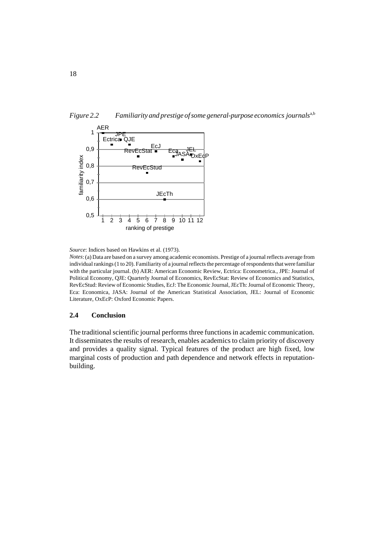



*Source*: Indices based on Hawkins et al. (1973).

*Notes*: (a) Data are based on a survey among academic economists. Prestige of a journal reflects average from individual rankings (1 to 20). Familiarity of a journal reflects the percentage of respondents that were familiar with the particular journal. (b) AER: American Economic Review, Ectrica: Econometrica., JPE: Journal of Political Economy, QJE: Quarterly Journal of Economics, RevEcStat: Review of Economics and Statistics, RevEcStud: Review of Economic Studies, EcJ: The Economic Journal, JEcTh: Journal of Economic Theory, Eca: Economica, JASA: Journal of the American Statistical Association, JEL: Journal of Economic Literature, OxEcP: Oxford Economic Papers.

## **2.4 Conclusion**

The traditional scientific journal performs three functions in academic communication. It disseminates the results of research, enables academics to claim priority of discovery and provides a quality signal. Typical features of the product are high fixed, low marginal costs of production and path dependence and network effects in reputationbuilding.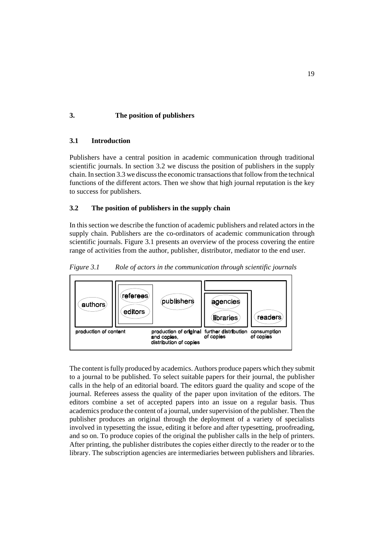# **3. The position of publishers**

#### **3.1 Introduction**

Publishers have a central position in academic communication through traditional scientific journals. In section 3.2 we discuss the position of publishers in the supply chain. In section 3.3 we discuss the economic transactions that follow from the technical functions of the different actors. Then we show that high journal reputation is the key to success for publishers.

#### **3.2 The position of publishers in the supply chain**

In this section we describe the function of academic publishers and related actors in the supply chain. Publishers are the co-ordinators of academic communication through scientific journals. Figure 3.1 presents an overview of the process covering the entire range of activities from the author, publisher, distributor, mediator to the end user.





The content is fully produced by academics. Authors produce papers which they submit to a journal to be published. To select suitable papers for their journal, the publisher calls in the help of an editorial board. The editors guard the quality and scope of the journal. Referees assess the quality of the paper upon invitation of the editors. The editors combine a set of accepted papers into an issue on a regular basis. Thus academics produce the content of a journal, under supervision of the publisher. Then the publisher produces an original through the deployment of a variety of specialists involved in typesetting the issue, editing it before and after typesetting, proofreading, and so on. To produce copies of the original the publisher calls in the help of printers. After printing, the publisher distributes the copies either directly to the reader or to the library. The subscription agencies are intermediaries between publishers and libraries.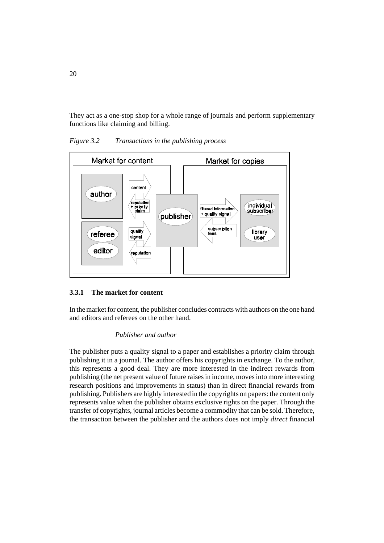They act as a one-stop shop for a whole range of journals and perform supplementary functions like claiming and billing.



*Figure 3.2 Transactions in the publishing process*

### **3.3.1 The market for content**

In the market for content, the publisher concludes contracts with authors on the one hand and editors and referees on the other hand.

#### *Publisher and author*

The publisher puts a quality signal to a paper and establishes a priority claim through publishing it in a journal. The author offers his copyrights in exchange. To the author, this represents a good deal. They are more interested in the indirect rewards from publishing (the net present value of future raises in income, moves into more interesting research positions and improvements in status) than in direct financial rewards from publishing. Publishers are highly interested in the copyrights on papers: the content only represents value when the publisher obtains exclusive rights on the paper. Through the transfer of copyrights, journal articles become a commodity that can be sold. Therefore, the transaction between the publisher and the authors does not imply *direct* financial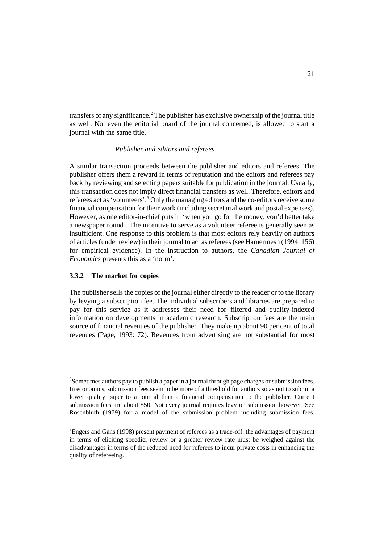transfers of any significance.<sup>2</sup> The publisher has exclusive ownership of the journal title as well. Not even the editorial board of the journal concerned, is allowed to start a journal with the same title.

#### *Publisher and editors and referees*

A similar transaction proceeds between the publisher and editors and referees. The publisher offers them a reward in terms of reputation and the editors and referees pay back by reviewing and selecting papers suitable for publication in the journal. Usually, this transaction does not imply direct financial transfers as well. Therefore, editors and referees act as 'volunteers'.<sup>3</sup> Only the managing editors and the co-editors receive some financial compensation for their work (including secretarial work and postal expenses). However, as one editor-in-chief puts it: 'when you go for the money, you'd better take a newspaper round'. The incentive to serve as a volunteer referee is generally seen as insufficient. One response to this problem is that most editors rely heavily on authors of articles (under review) in their journal to act as referees (see Hamermesh (1994: 156) for empirical evidence). In the instruction to authors, the *Canadian Journal of Economics* presents this as a 'norm'.

#### **3.3.2 The market for copies**

The publisher sells the copies of the journal either directly to the reader or to the library by levying a subscription fee. The individual subscribers and libraries are prepared to pay for this service as it addresses their need for filtered and quality-indexed information on developments in academic research. Subscription fees are the main source of financial revenues of the publisher. They make up about 90 per cent of total revenues (Page, 1993: 72). Revenues from advertising are not substantial for most

 $^2$ Sometimes authors pay to publish a paper in a journal through page charges or submission fees. In economics, submission fees seem to be more of a threshold for authors so as not to submit a lower quality paper to a journal than a financial compensation to the publisher. Current submission fees are about \$50. Not every journal requires levy on submission however. See Rosenbluth (1979) for a model of the submission problem including submission fees.

 $^3$ Engers and Gans (1998) present payment of referees as a trade-off: the advantages of payment in terms of eliciting speedier review or a greater review rate must be weighed against the disadvantages in terms of the reduced need for referees to incur private costs in enhancing the quality of refereeing.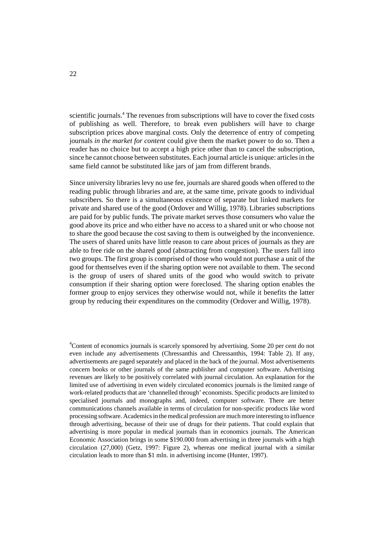scientific journals.<sup>4</sup> The revenues from subscriptions will have to cover the fixed costs of publishing as well. Therefore, to break even publishers will have to charge subscription prices above marginal costs. Only the deterrence of entry of competing journals *in the market for content* could give them the market power to do so. Then a reader has no choice but to accept a high price other than to cancel the subscription, since he cannot choose between substitutes. Each journal article is unique: articles in the same field cannot be substituted like jars of jam from different brands.

Since university libraries levy no use fee, journals are shared goods when offered to the reading public through libraries and are, at the same time, private goods to individual subscribers. So there is a simultaneous existence of separate but linked markets for private and shared use of the good (Ordover and Willig, 1978). Libraries subscriptions are paid for by public funds. The private market serves those consumers who value the good above its price and who either have no access to a shared unit or who choose not to share the good because the cost saving to them is outweighed by the inconvenience. The users of shared units have little reason to care about prices of journals as they are able to free ride on the shared good (abstracting from congestion). The users fall into two groups. The first group is comprised of those who would not purchase a unit of the good for themselves even if the sharing option were not available to them. The second is the group of users of shared units of the good who would switch to private consumption if their sharing option were foreclosed. The sharing option enables the former group to enjoy services they otherwise would not, while it benefits the latter group by reducing their expenditures on the commodity (Ordover and Willig, 1978).

<sup>&</sup>lt;sup>4</sup>Content of economics journals is scarcely sponsored by advertising. Some 20 per cent do not even include any advertisements (Chressanthis and Chressanthis, 1994: Table 2). If any, advertisements are paged separately and placed in the back of the journal. Most advertisements concern books or other journals of the same publisher and computer software. Advertising revenues are likely to be positively correlated with journal circulation. An explanation for the limited use of advertising in even widely circulated economics journals is the limited range of work-related products that are 'channelled through' economists. Specific products are limited to specialised journals and monographs and, indeed, computer software. There are better communications channels available in terms of circulation for non-specific products like word processing software. Academics in the medical profession are much more interesting to influence through advertising, because of their use of drugs for their patients. That could explain that advertising is more popular in medical journals than in economics journals. The American Economic Association brings in some \$190.000 from advertising in three journals with a high circulation (27,000) (Getz, 1997: Figure 2), whereas one medical journal with a similar circulation leads to more than \$1 mln. in advertising income (Hunter, 1997).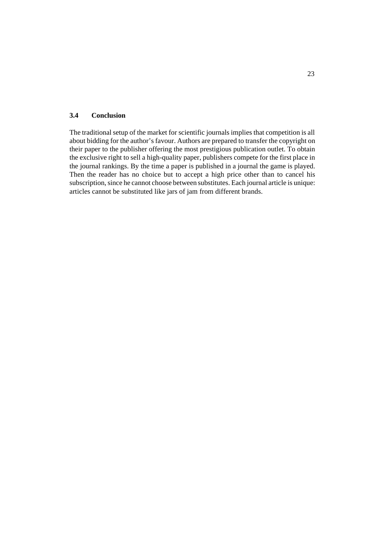#### **3.4 Conclusion**

The traditional setup of the market for scientific journals implies that competition is all about bidding for the author's favour. Authors are prepared to transfer the copyright on their paper to the publisher offering the most prestigious publication outlet. To obtain the exclusive right to sell a high-quality paper, publishers compete for the first place in the journal rankings. By the time a paper is published in a journal the game is played. Then the reader has no choice but to accept a high price other than to cancel his subscription, since he cannot choose between substitutes. Each journal article is unique: articles cannot be substituted like jars of jam from different brands.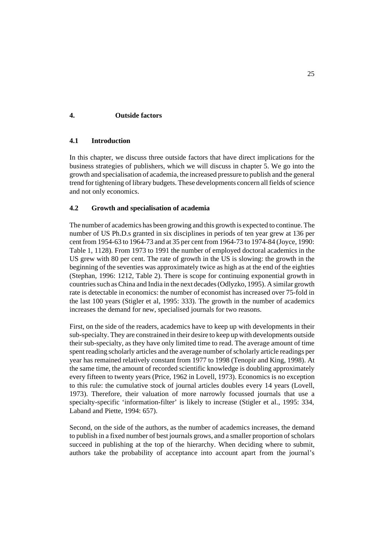## **4. Outside factors**

### **4.1 Introduction**

In this chapter, we discuss three outside factors that have direct implications for the business strategies of publishers, which we will discuss in chapter 5. We go into the growth and specialisation of academia, the increased pressure to publish and the general trend for tightening of library budgets. These developments concern all fields of science and not only economics.

#### **4.2 Growth and specialisation of academia**

The number of academics has been growing and this growth is expected to continue. The number of US Ph.D.s granted in six disciplines in periods of ten year grew at 136 per cent from 1954-63 to 1964-73 and at 35 per cent from 1964-73 to 1974-84 (Joyce, 1990: Table 1, 1128). From 1973 to 1991 the number of employed doctoral academics in the US grew with 80 per cent. The rate of growth in the US is slowing: the growth in the beginning of the seventies was approximately twice as high as at the end of the eighties (Stephan, 1996: 1212, Table 2). There is scope for continuing exponential growth in countries such as China and India in the next decades (Odlyzko, 1995). A similar growth rate is detectable in economics: the number of economist has increased over 75-fold in the last 100 years (Stigler et al, 1995: 333). The growth in the number of academics increases the demand for new, specialised journals for two reasons.

First, on the side of the readers, academics have to keep up with developments in their sub-specialty. They are constrained in their desire to keep up with developments outside their sub-specialty, as they have only limited time to read. The average amount of time spent reading scholarly articles and the average number of scholarly article readings per year has remained relatively constant from 1977 to 1998 (Tenopir and King, 1998). At the same time, the amount of recorded scientific knowledge is doubling approximately every fifteen to twenty years (Price, 1962 in Lovell, 1973). Economics is no exception to this rule: the cumulative stock of journal articles doubles every 14 years (Lovell, 1973). Therefore, their valuation of more narrowly focussed journals that use a specialty-specific 'information-filter' is likely to increase (Stigler et al., 1995: 334, Laband and Piette, 1994: 657).

Second, on the side of the authors, as the number of academics increases, the demand to publish in a fixed number of best journals grows, and a smaller proportion of scholars succeed in publishing at the top of the hierarchy. When deciding where to submit, authors take the probability of acceptance into account apart from the journal's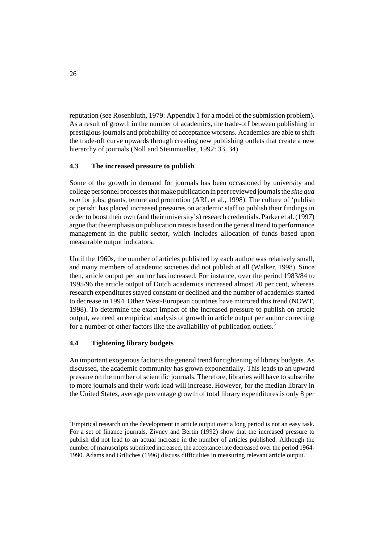reputation (see Rosenbluth, 1979: Appendix 1 for a model of the submission problem). As a result of growth in the number of academics, the trade-off between publishing in prestigious journals and probability of acceptance worsens. Academics are able to shift the trade-off curve upwards through creating new publishing outlets that create a new hierarchy of journals (Noll and Steinmueller, 1992: 33, 34).

# **4.3 The increased pressure to publish**

Some of the growth in demand for journals has been occasioned by university and college personnel processes that make publication in peer reviewed journals the *sine qua non* for jobs, grants, tenure and promotion (ARL et al., 1998). The culture of 'publish or perish' has placed increased pressures on academic staff to publish their findings in order to boost their own (and their university's) research credentials. Parker et al. (1997) argue that the emphasis on publication rates is based on the general trend to performance management in the public sector, which includes allocation of funds based upon measurable output indicators.

Until the 1960s, the number of articles published by each author was relatively small, and many members of academic societies did not publish at all (Walker, 1998). Since then, article output per author has increased. For instance, over the period 1983/84 to 1995/96 the article output of Dutch academics increased almost 70 per cent, whereas research expenditures stayed constant or declined and the number of academics started to decrease in 1994. Other West-European countries have mirrored this trend (NOWT, 1998). To determine the exact impact of the increased pressure to publish on article output, we need an empirical analysis of growth in article output per author correcting for a number of other factors like the availability of publication outlets.<sup>5</sup>

### **4.4 Tightening library budgets**

An important exogenous factor is the general trend for tightening of library budgets. As discussed, the academic community has grown exponentially. This leads to an upward pressure on the number of scientific journals. Therefore, libraries will have to subscribe to more journals and their work load will increase. However, for the median library in the United States, average percentage growth of total library expenditures is only 8 per

<sup>&</sup>lt;sup>5</sup> Empirical research on the development in article output over a long period is not an easy task. For a set of finance journals, Zivney and Bertin (1992) show that the increased pressure to publish did not lead to an actual increase in the number of articles published. Although the number of manuscripts submitted increased, the acceptance rate decreased over the period 1964- 1990. Adams and Griliches (1996) discuss difficulties in measuring relevant article output.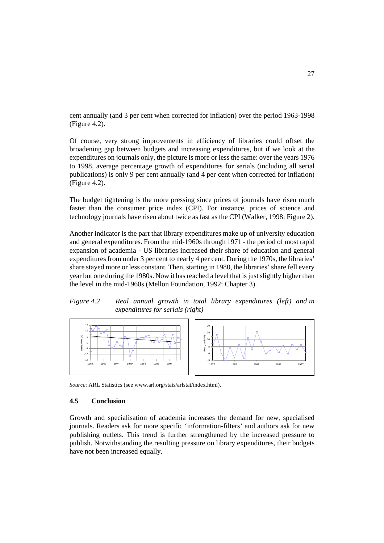cent annually (and 3 per cent when corrected for inflation) over the period 1963-1998 (Figure 4.2).

Of course, very strong improvements in efficiency of libraries could offset the broadening gap between budgets and increasing expenditures, but if we look at the expenditures on journals only, the picture is more or less the same: over the years 1976 to 1998, average percentage growth of expenditures for serials (including all serial publications) is only 9 per cent annually (and 4 per cent when corrected for inflation) (Figure 4.2).

The budget tightening is the more pressing since prices of journals have risen much faster than the consumer price index (CPI). For instance, prices of science and technology journals have risen about twice as fast as the CPI (Walker, 1998: Figure 2).

Another indicator is the part that library expenditures make up of university education and general expenditures. From the mid-1960s through 1971 - the period of most rapid expansion of academia - US libraries increased their share of education and general expenditures from under 3 per cent to nearly 4 per cent. During the 1970s, the libraries' share stayed more or less constant. Then, starting in 1980, the libraries' share fell every year but one during the 1980s. Now it has reached a level that is just slightly higher than the level in the mid-1960s (Mellon Foundation, 1992: Chapter 3).

*Figure 4.2 Real annual growth in total library expenditures (left) and in expenditures for serials (right)*



*Source*: ARL Statistics (see www.arl.org/stats/arlstat/index.html).

#### **4.5 Conclusion**

Growth and specialisation of academia increases the demand for new, specialised journals. Readers ask for more specific 'information-filters' and authors ask for new publishing outlets. This trend is further strengthened by the increased pressure to publish. Notwithstanding the resulting pressure on library expenditures, their budgets have not been increased equally.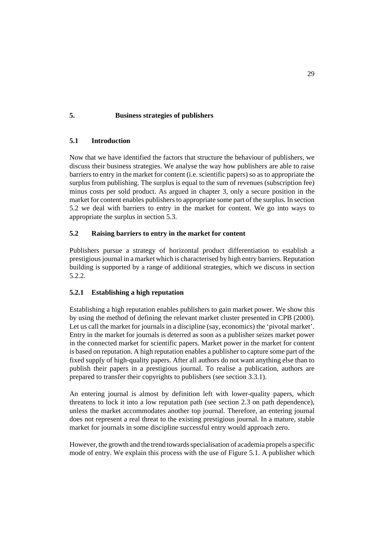## **5. Business strategies of publishers**

### **5.1 Introduction**

Now that we have identified the factors that structure the behaviour of publishers, we discuss their business strategies. We analyse the way how publishers are able to raise barriers to entry in the market for content (i.e. scientific papers) so as to appropriate the surplus from publishing. The surplus is equal to the sum of revenues (subscription fee) minus costs per sold product. As argued in chapter 3, only a secure position in the market for content enables publishers to appropriate some part of the surplus. In section 5.2 we deal with barriers to entry in the market for content. We go into ways to appropriate the surplus in section 5.3.

# **5.2 Raising barriers to entry in the market for content**

Publishers pursue a strategy of horizontal product differentiation to establish a prestigious journal in a market which is characterised by high entry barriers. Reputation building is supported by a range of additional strategies, which we discuss in section 5.2.2.

### **5.2.1 Establishing a high reputation**

Establishing a high reputation enables publishers to gain market power. We show this by using the method of defining the relevant market cluster presented in CPB (2000). Let us call the market for journals in a discipline (say, economics) the 'pivotal market'. Entry in the market for journals is deterred as soon as a publisher seizes market power in the connected market for scientific papers. Market power in the market for content is based on reputation. A high reputation enables a publisher to capture some part of the fixed supply of high-quality papers. After all authors do not want anything else than to publish their papers in a prestigious journal. To realise a publication, authors are prepared to transfer their copyrights to publishers (see section 3.3.1).

An entering journal is almost by definition left with lower-quality papers, which threatens to lock it into a low reputation path (see section 2.3 on path dependence), unless the market accommodates another top journal. Therefore, an entering journal does not represent a real threat to the existing prestigious journal. In a mature, stable market for journals in some discipline successful entry would approach zero.

However, the growth and the trend towards specialisation of academia propels a specific mode of entry. We explain this process with the use of Figure 5.1. A publisher which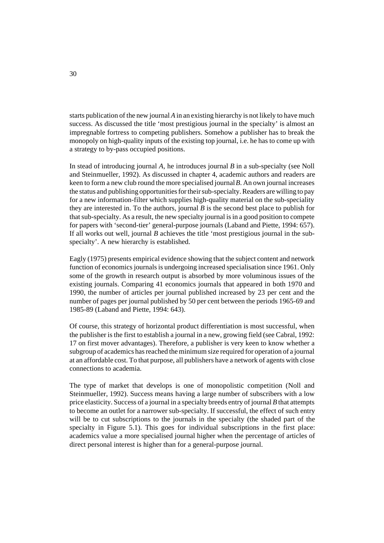starts publication of the new journal *A* in an existing hierarchy is not likely to have much success. As discussed the title 'most prestigious journal in the specialty' is almost an impregnable fortress to competing publishers. Somehow a publisher has to break the monopoly on high-quality inputs of the existing top journal, i.e. he has to come up with a strategy to by-pass occupied positions.

In stead of introducing journal *A*, he introduces journal *B* in a sub-specialty (see Noll and Steinmueller, 1992). As discussed in chapter 4, academic authors and readers are keen to form a new club round the more specialised journal *B*. An own journal increases the status and publishing opportunities for their sub-specialty. Readers are willing to pay for a new information-filter which supplies high-quality material on the sub-speciality they are interested in. To the authors, journal *B* is the second best place to publish for that sub-specialty. As a result, the new specialty journal is in a good position to compete for papers with 'second-tier' general-purpose journals (Laband and Piette, 1994: 657). If all works out well, journal *B* achieves the title 'most prestigious journal in the subspecialty'. A new hierarchy is established.

Eagly (1975) presents empirical evidence showing that the subject content and network function of economics journals is undergoing increased specialisation since 1961. Only some of the growth in research output is absorbed by more voluminous issues of the existing journals. Comparing 41 economics journals that appeared in both 1970 and 1990, the number of articles per journal published increased by 23 per cent and the number of pages per journal published by 50 per cent between the periods 1965-69 and 1985-89 (Laband and Piette, 1994: 643).

Of course, this strategy of horizontal product differentiation is most successful, when the publisher is the first to establish a journal in a new, growing field (see Cabral, 1992: 17 on first mover advantages). Therefore, a publisher is very keen to know whether a subgroup of academics has reached the minimum size required for operation of a journal at an affordable cost. To that purpose, all publishers have a network of agents with close connections to academia.

The type of market that develops is one of monopolistic competition (Noll and Steinmueller, 1992). Success means having a large number of subscribers with a low price elasticity. Success of a journal in a specialty breeds entry of journal *B* that attempts to become an outlet for a narrower sub-specialty. If successful, the effect of such entry will be to cut subscriptions to the journals in the specialty (the shaded part of the specialty in Figure 5.1). This goes for individual subscriptions in the first place: academics value a more specialised journal higher when the percentage of articles of direct personal interest is higher than for a general-purpose journal.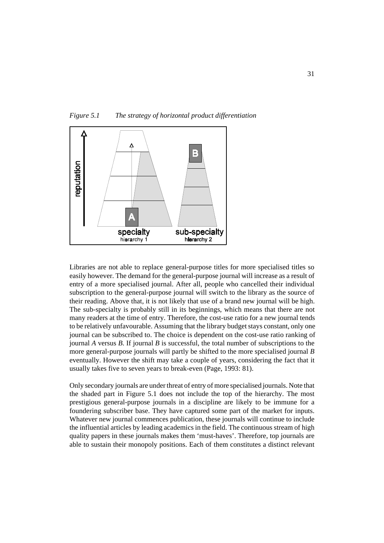

*Figure 5.1 The strategy of horizontal product differentiation*

Libraries are not able to replace general-purpose titles for more specialised titles so easily however. The demand for the general-purpose journal will increase as a result of entry of a more specialised journal. After all, people who cancelled their individual subscription to the general-purpose journal will switch to the library as the source of their reading. Above that, it is not likely that use of a brand new journal will be high. The sub-specialty is probably still in its beginnings, which means that there are not many readers at the time of entry. Therefore, the cost-use ratio for a new journal tends to be relatively unfavourable. Assuming that the library budget stays constant, only one journal can be subscribed to. The choice is dependent on the cost-use ratio ranking of journal *A* versus *B*. If journal *B* is successful, the total number of subscriptions to the more general-purpose journals will partly be shifted to the more specialised journal *B* eventually. However the shift may take a couple of years, considering the fact that it usually takes five to seven years to break-even (Page, 1993: 81).

Only secondary journals are under threat of entry of more specialised journals. Note that the shaded part in Figure 5.1 does not include the top of the hierarchy. The most prestigious general-purpose journals in a discipline are likely to be immune for a foundering subscriber base. They have captured some part of the market for inputs. Whatever new journal commences publication, these journals will continue to include the influential articles by leading academics in the field. The continuous stream of high quality papers in these journals makes them 'must-haves'. Therefore, top journals are able to sustain their monopoly positions. Each of them constitutes a distinct relevant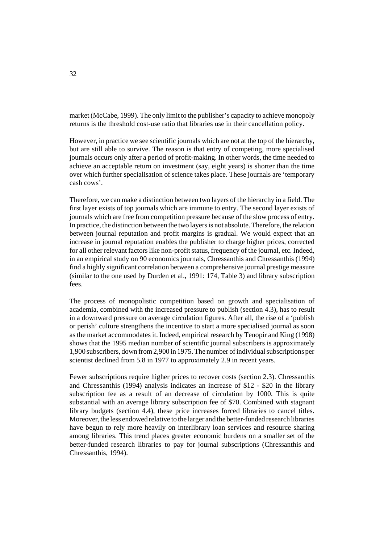market (McCabe, 1999). The only limit to the publisher's capacity to achieve monopoly returns is the threshold cost-use ratio that libraries use in their cancellation policy.

However, in practice we see scientific journals which are not at the top of the hierarchy, but are still able to survive. The reason is that entry of competing, more specialised journals occurs only after a period of profit-making. In other words, the time needed to achieve an acceptable return on investment (say, eight years) is shorter than the time over which further specialisation of science takes place. These journals are 'temporary cash cows'.

Therefore, we can make a distinction between two layers of the hierarchy in a field. The first layer exists of top journals which are immune to entry. The second layer exists of journals which are free from competition pressure because of the slow process of entry. In practice, the distinction between the two layers is not absolute. Therefore, the relation between journal reputation and profit margins is gradual. We would expect that an increase in journal reputation enables the publisher to charge higher prices, corrected for all other relevant factors like non-profit status, frequency of the journal, etc. Indeed, in an empirical study on 90 economics journals, Chressanthis and Chressanthis (1994) find a highly significant correlation between a comprehensive journal prestige measure (similar to the one used by Durden et al., 1991: 174, Table 3) and library subscription fees.

The process of monopolistic competition based on growth and specialisation of academia, combined with the increased pressure to publish (section 4.3), has to result in a downward pressure on average circulation figures. After all, the rise of a 'publish or perish' culture strengthens the incentive to start a more specialised journal as soon as the market accommodates it. Indeed, empirical research by Tenopir and King (1998) shows that the 1995 median number of scientific journal subscribers is approximately 1,900 subscribers, down from 2,900 in 1975. The number of individual subscriptions per scientist declined from 5.8 in 1977 to approximately 2.9 in recent years.

Fewer subscriptions require higher prices to recover costs (section 2.3). Chressanthis and Chressanthis (1994) analysis indicates an increase of \$12 - \$20 in the library subscription fee as a result of an decrease of circulation by 1000. This is quite substantial with an average library subscription fee of \$70. Combined with stagnant library budgets (section 4.4), these price increases forced libraries to cancel titles. Moreover, the less endowed relative to the larger and the better-funded research libraries have begun to rely more heavily on interlibrary loan services and resource sharing among libraries. This trend places greater economic burdens on a smaller set of the better-funded research libraries to pay for journal subscriptions (Chressanthis and Chressanthis, 1994).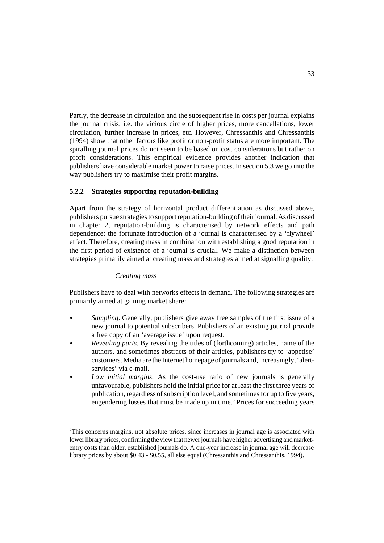Partly, the decrease in circulation and the subsequent rise in costs per journal explains the journal crisis, i.e. the vicious circle of higher prices, more cancellations, lower circulation, further increase in prices, etc. However, Chressanthis and Chressanthis (1994) show that other factors like profit or non-profit status are more important. The spiralling journal prices do not seem to be based on cost considerations but rather on profit considerations. This empirical evidence provides another indication that publishers have considerable market power to raise prices. In section 5.3 we go into the way publishers try to maximise their profit margins.

### **5.2.2 Strategies supporting reputation-building**

Apart from the strategy of horizontal product differentiation as discussed above, publishers pursue strategies to support reputation-building of their journal. As discussed in chapter 2, reputation-building is characterised by network effects and path dependence: the fortunate introduction of a journal is characterised by a 'flywheel' effect. Therefore, creating mass in combination with establishing a good reputation in the first period of existence of a journal is crucial. We make a distinction between strategies primarily aimed at creating mass and strategies aimed at signalling quality.

#### *Creating mass*

Publishers have to deal with networks effects in demand. The following strategies are primarily aimed at gaining market share:

- $\mathbf{r}$  *Sampling*. Generally, publishers give away free samples of the first issue of a new journal to potential subscribers. Publishers of an existing journal provide a free copy of an 'average issue' upon request.
- $\overline{a}$  *Revealing parts*. By revealing the titles of (forthcoming) articles, name of the authors, and sometimes abstracts of their articles, publishers try to 'appetise' customers. Media are the Internet homepage of journals and, increasingly, 'alertservices' via e-mail.
- $\mathbf{r}$  *Low initial margins*. As the cost-use ratio of new journals is generally unfavourable, publishers hold the initial price for at least the first three years of publication, regardless of subscription level, and sometimes for up to five years, engendering losses that must be made up in time.<sup>6</sup> Prices for succeeding years

<sup>&</sup>lt;sup>6</sup>This concerns margins, not absolute prices, since increases in journal age is associated with lower library prices, confirming the view that newer journals have higher advertising and marketentry costs than older, established journals do. A one-year increase in journal age will decrease library prices by about \$0.43 - \$0.55, all else equal (Chressanthis and Chressanthis, 1994).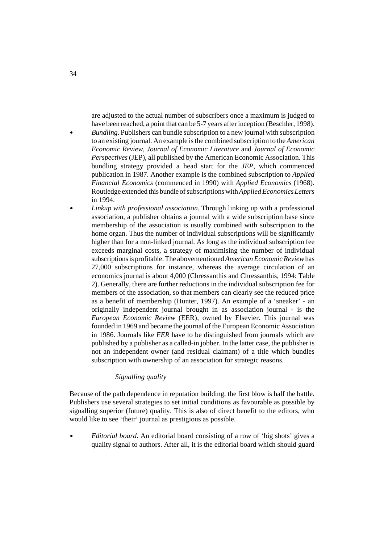are adjusted to the actual number of subscribers once a maximum is judged to have been reached, a point that can be 5-7 years after inception (Beschler, 1998). *Bundling*. Publishers can bundle subscription to a new journal with subscription to an existing journal. An example is the combined subscription to the *American Economic Review*, *Journal of Economic Literature* and *Journal of Economic Perspectives* (JEP), all published by the American Economic Association. This bundling strategy provided a head start for the *JEP*, which commenced publication in 1987. Another example is the combined subscription to *Applied Financial Economics* (commenced in 1990) with *Applied Economics* (1968). Routledge extended this bundle of subscriptions with *Applied Economics Letters* in 1994.

 *Linkup with professional association*. Through linking up with a professional association, a publisher obtains a journal with a wide subscription base since membership of the association is usually combined with subscription to the home organ. Thus the number of individual subscriptions will be significantly higher than for a non-linked journal. As long as the individual subscription fee exceeds marginal costs, a strategy of maximising the number of individual subscriptions is profitable. The abovementioned *American Economic Review* has 27,000 subscriptions for instance, whereas the average circulation of an economics journal is about 4,000 (Chressanthis and Chressanthis, 1994: Table 2). Generally, there are further reductions in the individual subscription fee for members of the association, so that members can clearly see the reduced price as a benefit of membership (Hunter, 1997). An example of a 'sneaker' - an originally independent journal brought in as association journal - is the *European Economic Review* (EER), owned by Elsevier. This journal was founded in 1969 and became the journal of the European Economic Association in 1986. Journals like *EER* have to be distinguished from journals which are published by a publisher as a called-in jobber. In the latter case, the publisher is not an independent owner (and residual claimant) of a title which bundles subscription with ownership of an association for strategic reasons.

### *Signalling quality*

Because of the path dependence in reputation building, the first blow is half the battle. Publishers use several strategies to set initial conditions as favourable as possible by signalling superior (future) quality. This is also of direct benefit to the editors, who would like to see 'their' journal as prestigious as possible.

 $\overline{a}$  *Editorial board*. An editorial board consisting of a row of 'big shots' gives a quality signal to authors. After all, it is the editorial board which should guard

 $\overline{a}$ 

 $\bullet$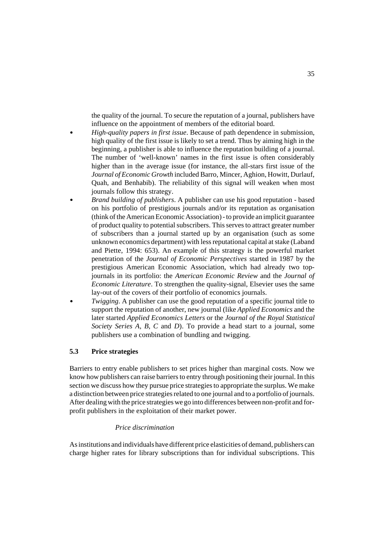the quality of the journal. To secure the reputation of a journal, publishers have influence on the appointment of members of the editorial board.

- *High-quality papers in first issue*. Because of path dependence in submission, high quality of the first issue is likely to set a trend. Thus by aiming high in the beginning, a publisher is able to influence the reputation building of a journal. The number of 'well-known' names in the first issue is often considerably higher than in the average issue (for instance, the all-stars first issue of the *Journal of Economic Growth* included Barro, Mincer, Aghion, Howitt, Durlauf, Quah, and Benhabib). The reliability of this signal will weaken when most journals follow this strategy.
- *Brand building of publishers*. A publisher can use his good reputation based on his portfolio of prestigious journals and/or its reputation as organisation (think of the American Economic Association) - to provide an implicit guarantee of product quality to potential subscribers. This serves to attract greater number of subscribers than a journal started up by an organisation (such as some unknown economics department) with less reputational capital at stake (Laband and Piette, 1994: 653). An example of this strategy is the powerful market penetration of the *Journal of Economic Perspectives* started in 1987 by the prestigious American Economic Association, which had already two topjournals in its portfolio: the *American Economic Review* and the *Journal of Economic Literature*. To strengthen the quality-signal, Elsevier uses the same lay-out of the covers of their portfolio of economics journals.
- $\mathbf{r}$  *Twigging*. A publisher can use the good reputation of a specific journal title to support the reputation of another, new journal (like *Applied Economics* and the later started *Applied Economics Letters* or the *Journal of the Royal Statistical Society Series A, B, C* and *D*). To provide a head start to a journal, some publishers use a combination of bundling and twigging.

### **5.3 Price strategies**

 $\overline{a}$ 

 $\overline{a}$ 

Barriers to entry enable publishers to set prices higher than marginal costs. Now we know how publishers can raise barriers to entry through positioning their journal. In this section we discuss how they pursue price strategies to appropriate the surplus. We make a distinction between price strategies related to one journal and to a portfolio of journals. After dealing with the price strategies we go into differences between non-profit and forprofit publishers in the exploitation of their market power.

#### *Price discrimination*

As institutions and individuals have different price elasticities of demand, publishers can charge higher rates for library subscriptions than for individual subscriptions. This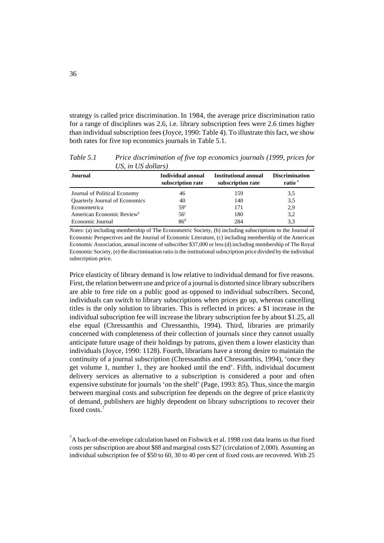strategy is called price discrimination. In 1984, the average price discrimination ratio for a range of disciplines was 2.6, i.e. library subscription fees were 2.6 times higher than individual subscription fees (Joyce, 1990: Table 4). To illustrate this fact, we show both rates for five top economics journals in Table 5.1.

*Table 5.1 Price discrimination of five top economics journals (1999, prices for US, in US dollars)*

| <b>Journal</b>                        | Individual annual<br>subscription rate | Institutional annual<br>subscription rate | <b>Discrimination</b><br>ratio <sup>e</sup> |
|---------------------------------------|----------------------------------------|-------------------------------------------|---------------------------------------------|
| Journal of Political Economy          | 46                                     | 159                                       | 3,5                                         |
| Quarterly Journal of Economics        | 40                                     | 140                                       | 3,5                                         |
| Econometrica                          | 59 <sup>a</sup>                        | 171                                       | 2.9                                         |
| American Economic Review <sup>b</sup> | 56 <sup>c</sup>                        | 180                                       | 3,2                                         |
| Economic Journal                      | 86 <sup>d</sup>                        | 284                                       | 3.3                                         |

*Notes*: (a) including membership of The Econometric Society, (b) including subscriptions to the Journal of Economic Perspectives and the Journal of Economic Literature, (c) including membership of the American Economic Association, annual income of subscriber \$37,000 or less (d) including membership of The Royal Economic Society, (e) the discrimination ratio is the institutional subscription price divided by the individual subscription price.

Price elasticity of library demand is low relative to individual demand for five reasons. First, the relation between use and price of a journal is distorted since library subscribers are able to free ride on a public good as opposed to individual subscribers. Second, individuals can switch to library subscriptions when prices go up, whereas cancelling titles is the only solution to libraries. This is reflected in prices: a \$1 increase in the individual subscription fee will increase the library subscription fee by about \$1.25, all else equal (Chressanthis and Chressanthis, 1994). Third, libraries are primarily concerned with completeness of their collection of journals since they cannot usually anticipate future usage of their holdings by patrons, given them a lower elasticity than individuals (Joyce, 1990: 1128). Fourth, librarians have a strong desire to maintain the continuity of a journal subscription (Chressanthis and Chressanthis, 1994), 'once they get volume 1, number 1, they are hooked until the end'. Fifth, individual document delivery services as alternative to a subscription is considered a poor and often expensive substitute for journals 'on the shelf' (Page, 1993: 85). Thus, since the margin between marginal costs and subscription fee depends on the degree of price elasticity of demand, publishers are highly dependent on library subscriptions to recover their fixed costs.7

 $^7$ A back-of-the-envelope calculation based on Fishwick et al. 1998 cost data learns us that fixed costs per subscription are about \$88 and marginal costs \$27 (circulation of 2,000). Assuming an individual subscription fee of \$50 to 60, 30 to 40 per cent of fixed costs are recovered. With 25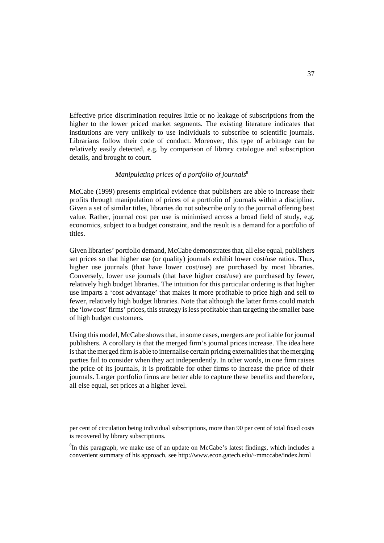Effective price discrimination requires little or no leakage of subscriptions from the higher to the lower priced market segments. The existing literature indicates that institutions are very unlikely to use individuals to subscribe to scientific journals. Librarians follow their code of conduct. Moreover, this type of arbitrage can be relatively easily detected, e.g. by comparison of library catalogue and subscription details, and brought to court.

# *Manipulating prices of a portfolio of journals*<sup>8</sup>

McCabe (1999) presents empirical evidence that publishers are able to increase their profits through manipulation of prices of a portfolio of journals within a discipline. Given a set of similar titles, libraries do not subscribe only to the journal offering best value. Rather, journal cost per use is minimised across a broad field of study, e.g. economics, subject to a budget constraint, and the result is a demand for a portfolio of titles.

Given libraries' portfolio demand, McCabe demonstrates that, all else equal, publishers set prices so that higher use (or quality) journals exhibit lower cost/use ratios. Thus, higher use journals (that have lower cost/use) are purchased by most libraries. Conversely, lower use journals (that have higher cost/use) are purchased by fewer, relatively high budget libraries. The intuition for this particular ordering is that higher use imparts a 'cost advantage' that makes it more profitable to price high and sell to fewer, relatively high budget libraries. Note that although the latter firms could match the 'low cost' firms' prices, this strategy is less profitable than targeting the smaller base of high budget customers.

Using this model, McCabe shows that, in some cases, mergers are profitable for journal publishers. A corollary is that the merged firm's journal prices increase. The idea here is that the merged firm is able to internalise certain pricing externalities that the merging parties fail to consider when they act independently. In other words, in one firm raises the price of its journals, it is profitable for other firms to increase the price of their journals. Larger portfolio firms are better able to capture these benefits and therefore, all else equal, set prices at a higher level.

per cent of circulation being individual subscriptions, more than 90 per cent of total fixed costs is recovered by library subscriptions.

<sup>8</sup>In this paragraph, we make use of an update on McCabe's latest findings, which includes a convenient summary of his approach, see http://www.econ.gatech.edu/~mmccabe/index.html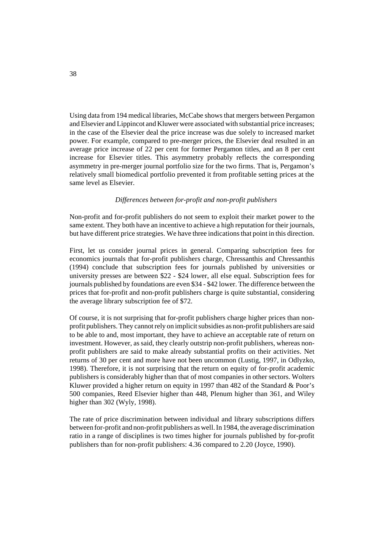Using data from 194 medical libraries, McCabe shows that mergers between Pergamon and Elsevier and Lippincot and Kluwer were associated with substantial price increases; in the case of the Elsevier deal the price increase was due solely to increased market power. For example, compared to pre-merger prices, the Elsevier deal resulted in an average price increase of 22 per cent for former Pergamon titles, and an 8 per cent increase for Elsevier titles. This asymmetry probably reflects the corresponding asymmetry in pre-merger journal portfolio size for the two firms. That is, Pergamon's relatively small biomedical portfolio prevented it from profitable setting prices at the same level as Elsevier.

#### *Differences between for-profit and non-profit publishers*

Non-profit and for-profit publishers do not seem to exploit their market power to the same extent. They both have an incentive to achieve a high reputation for their journals, but have different price strategies. We have three indications that point in this direction.

First, let us consider journal prices in general. Comparing subscription fees for economics journals that for-profit publishers charge, Chressanthis and Chressanthis (1994) conclude that subscription fees for journals published by universities or university presses are between \$22 - \$24 lower, all else equal. Subscription fees for journals published by foundations are even \$34 - \$42 lower. The difference between the prices that for-profit and non-profit publishers charge is quite substantial, considering the average library subscription fee of \$72.

Of course, it is not surprising that for-profit publishers charge higher prices than nonprofit publishers. They cannot rely on implicit subsidies as non-profit publishers are said to be able to and, most important, they have to achieve an acceptable rate of return on investment. However, as said, they clearly outstrip non-profit publishers, whereas nonprofit publishers are said to make already substantial profits on their activities. Net returns of 30 per cent and more have not been uncommon (Lustig, 1997, in Odlyzko, 1998). Therefore, it is not surprising that the return on equity of for-profit academic publishers is considerably higher than that of most companies in other sectors. Wolters Kluwer provided a higher return on equity in 1997 than 482 of the Standard & Poor's 500 companies, Reed Elsevier higher than 448, Plenum higher than 361, and Wiley higher than 302 (Wyly, 1998).

The rate of price discrimination between individual and library subscriptions differs between for-profit and non-profit publishers as well. In 1984, the average discrimination ratio in a range of disciplines is two times higher for journals published by for-profit publishers than for non-profit publishers: 4.36 compared to 2.20 (Joyce, 1990).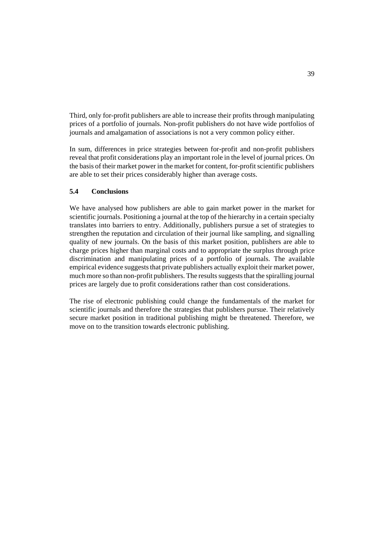Third, only for-profit publishers are able to increase their profits through manipulating prices of a portfolio of journals. Non-profit publishers do not have wide portfolios of journals and amalgamation of associations is not a very common policy either.

In sum, differences in price strategies between for-profit and non-profit publishers reveal that profit considerations play an important role in the level of journal prices. On the basis of their market power in the market for content, for-profit scientific publishers are able to set their prices considerably higher than average costs.

## **5.4 Conclusions**

We have analysed how publishers are able to gain market power in the market for scientific journals. Positioning a journal at the top of the hierarchy in a certain specialty translates into barriers to entry. Additionally, publishers pursue a set of strategies to strengthen the reputation and circulation of their journal like sampling, and signalling quality of new journals. On the basis of this market position, publishers are able to charge prices higher than marginal costs and to appropriate the surplus through price discrimination and manipulating prices of a portfolio of journals. The available empirical evidence suggests that private publishers actually exploit their market power, much more so than non-profit publishers. The results suggests that the spiralling journal prices are largely due to profit considerations rather than cost considerations.

The rise of electronic publishing could change the fundamentals of the market for scientific journals and therefore the strategies that publishers pursue. Their relatively secure market position in traditional publishing might be threatened. Therefore, we move on to the transition towards electronic publishing.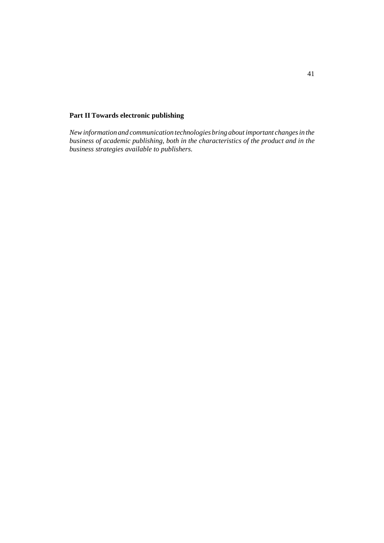## **Part II Towards electronic publishing**

*New information and communication technologies bring about important changes in the business of academic publishing, both in the characteristics of the product and in the business strategies available to publishers.*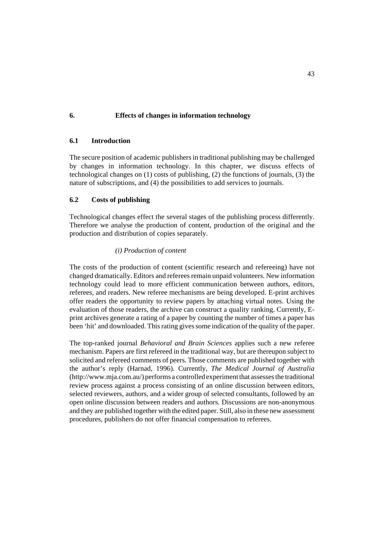## **6. Effects of changes in information technology**

### **6.1 Introduction**

The secure position of academic publishers in traditional publishing may be challenged by changes in information technology. In this chapter, we discuss effects of technological changes on (1) costs of publishing, (2) the functions of journals, (3) the nature of subscriptions, and (4) the possibilities to add services to journals.

#### **6.2 Costs of publishing**

Technological changes effect the several stages of the publishing process differently. Therefore we analyse the production of content, production of the original and the production and distribution of copies separately.

#### *(i) Production of content*

The costs of the production of content (scientific research and refereeing) have not changed dramatically. Editors and referees remain unpaid volunteers. New information technology could lead to more efficient communication between authors, editors, referees, and readers. New referee mechanisms are being developed. E-print archives offer readers the opportunity to review papers by attaching virtual notes. Using the evaluation of those readers, the archive can construct a quality ranking. Currently, Eprint archives generate a rating of a paper by counting the number of times a paper has been 'hit' and downloaded. This rating gives some indication of the quality of the paper.

The top-ranked journal *Behavioral and Brain Sciences* applies such a new referee mechanism. Papers are first refereed in the traditional way, but are thereupon subject to solicited and refereed comments of peers. Those comments are published together with the author's reply (Harnad, 1996). Currently, *The Medical Journal of Australia* (http://www.mja.com.au/) performs a controlled experiment that assesses the traditional review process against a process consisting of an online discussion between editors, selected reviewers, authors, and a wider group of selected consultants, followed by an open online discussion between readers and authors. Discussions are non-anonymous and they are published together with the edited paper. Still, also in these new assessment procedures, publishers do not offer financial compensation to referees.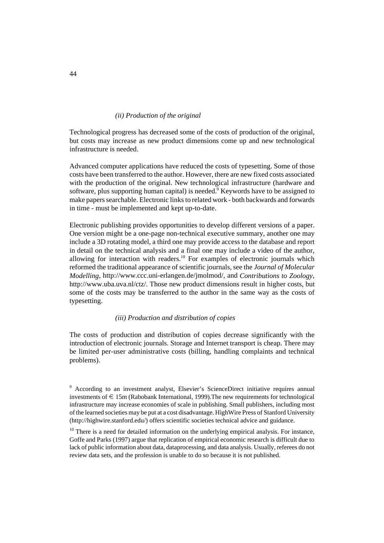### *(ii) Production of the original*

Technological progress has decreased some of the costs of production of the original, but costs may increase as new product dimensions come up and new technological infrastructure is needed.

Advanced computer applications have reduced the costs of typesetting. Some of those costs have been transferred to the author. However, there are new fixed costs associated with the production of the original. New technological infrastructure (hardware and software, plus supporting human capital) is needed. Keywords have to be assigned to make papers searchable. Electronic links to related work - both backwards and forwards in time - must be implemented and kept up-to-date.

Electronic publishing provides opportunities to develop different versions of a paper. One version might be a one-page non-technical executive summary, another one may include a 3D rotating model, a third one may provide access to the database and report in detail on the technical analysis and a final one may include a video of the author, allowing for interaction with readers.<sup>10</sup> For examples of electronic journals which reformed the traditional appearance of scientific journals, see the *Journal of Molecular Modelling*, http://www.ccc.uni-erlangen.de/jmolmod/, and *Contributions to Zoology*, http://www.uba.uva.nl/ctz/. Those new product dimensions result in higher costs, but some of the costs may be transferred to the author in the same way as the costs of typesetting.

### *(iii) Production and distribution of copies*

The costs of production and distribution of copies decrease significantly with the introduction of electronic journals. Storage and Internet transport is cheap. There may be limited per-user administrative costs (billing, handling complaints and technical problems).

<sup>&</sup>lt;sup>9</sup> According to an investment analyst, Elsevier's ScienceDirect initiative requires annual investments of  $\epsilon$  15m (Rabobank International, 1999). The new requirements for technological infrastructure may increase economies of scale in publishing. Small publishers, including most of the learned societies may be put at a cost disadvantage. HighWire Press of Stanford University (http://highwire.stanford.edu/) offers scientific societies technical advice and guidance.

 $10$  There is a need for detailed information on the underlying empirical analysis. For instance, Goffe and Parks (1997) argue that replication of empirical economic research is difficult due to lack of public information about data, dataprocessing, and data analysis. Usually, referees do not review data sets, and the profession is unable to do so because it is not published.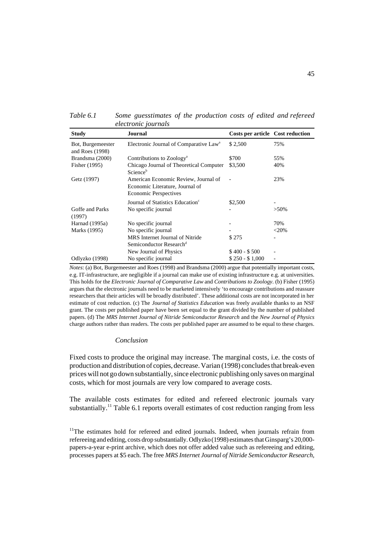*Table 6.1 Some guesstimates of the production costs of edited and refereed electronic journals*

| <b>Study</b>                           | Journal                                                                                                 | Costs per article Cost reduction |         |
|----------------------------------------|---------------------------------------------------------------------------------------------------------|----------------------------------|---------|
| Bot, Burgemeester<br>and Roes $(1998)$ | Electronic Journal of Comparative Law <sup>a</sup>                                                      | \$2,500                          | 75%     |
| Brandsma (2000)                        | Contributions to Zoology <sup>a</sup>                                                                   | \$700                            | 55%     |
| Fisher (1995)                          | Chicago Journal of Theoretical Computer<br>Science <sup>b</sup>                                         | \$3,500                          | 40%     |
| Getz (1997)                            | American Economic Review, Journal of<br>Economic Literature, Journal of<br><b>Economic Perspectives</b> |                                  | 23%     |
|                                        | Journal of Statistics Education <sup>c</sup>                                                            | \$2,500                          |         |
| Goffe and Parks<br>(1997)              | No specific journal                                                                                     |                                  | $>50\%$ |
| Harnad (1995a)                         | No specific journal                                                                                     |                                  | 70%     |
| Marks (1995)                           | No specific journal                                                                                     |                                  | $<$ 20% |
|                                        | MRS Internet Journal of Nitride<br>Semiconductor Research <sup>d</sup>                                  | \$275                            |         |
|                                        | New Journal of Physics                                                                                  | $$400 - $500$                    |         |
| Odlyzko (1998)                         | No specific journal                                                                                     | $$250 - $1,000$                  | ٠       |

*Notes*: (a) Bot, Burgemeester and Roes (1998) and Brandsma (2000) argue that potentially important costs, e.g. IT-infrastructure, are negligible if a journal can make use of existing infrastructure e.g. at universities. This holds for the *Electronic Journal of Comparative Law* and *Contributions to Zoology*. (b) Fisher (1995) argues that the electronic journals need to be marketed intensively 'to encourage contributions and reassure researchers that their articles will be broadly distributed'. These additional costs are not incorporated in her estimate of cost reduction. (c) The *Journal of Statistics Education* was freely available thanks to an NSF grant. The costs per published paper have been set equal to the grant divided by the number of published papers. (d) The *MRS Internet Journal of Nitride Semiconductor Research* and the *New Journal of Physics* charge authors rather than readers. The costs per published paper are assumed to be equal to these charges.

#### *Conclusion*

Fixed costs to produce the original may increase. The marginal costs, i.e. the costs of production and distribution of copies, decrease. Varian (1998) concludes that break-even prices will not go down substantially, since electronic publishing only saves on marginal costs, which for most journals are very low compared to average costs.

The available costs estimates for edited and refereed electronic journals vary substantially.<sup>11</sup> Table 6.1 reports overall estimates of cost reduction ranging from less

 $11$ The estimates hold for refereed and edited journals. Indeed, when journals refrain from refereeing and editing, costs drop substantially. Odlyzko (1998) estimates that Ginsparg's 20,000 papers-a-year e-print archive, which does not offer added value such as refereeing and editing, processes papers at \$5 each. The free *MRS Internet Journal of Nitride Semiconductor Research*,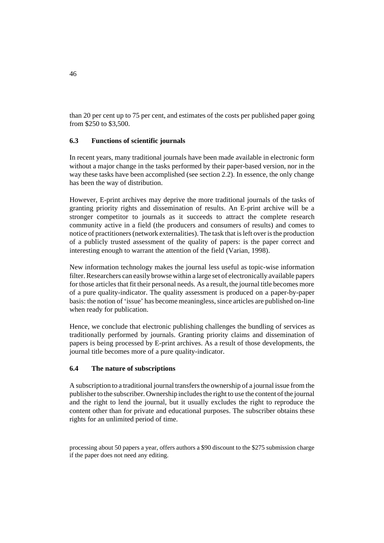than 20 per cent up to 75 per cent, and estimates of the costs per published paper going from \$250 to \$3,500.

## **6.3 Functions of scientific journals**

In recent years, many traditional journals have been made available in electronic form without a major change in the tasks performed by their paper-based version, nor in the way these tasks have been accomplished (see section 2.2). In essence, the only change has been the way of distribution.

However, E-print archives may deprive the more traditional journals of the tasks of granting priority rights and dissemination of results. An E-print archive will be a stronger competitor to journals as it succeeds to attract the complete research community active in a field (the producers and consumers of results) and comes to notice of practitioners (network externalities). The task that is left over is the production of a publicly trusted assessment of the quality of papers: is the paper correct and interesting enough to warrant the attention of the field (Varian, 1998).

New information technology makes the journal less useful as topic-wise information filter. Researchers can easily browse within a large set of electronically available papers for those articles that fit their personal needs. As a result, the journal title becomes more of a pure quality-indicator. The quality assessment is produced on a paper-by-paper basis: the notion of 'issue' has become meaningless, since articles are published on-line when ready for publication.

Hence, we conclude that electronic publishing challenges the bundling of services as traditionally performed by journals. Granting priority claims and dissemination of papers is being processed by E-print archives. As a result of those developments, the journal title becomes more of a pure quality-indicator.

## **6.4 The nature of subscriptions**

A subscription to a traditional journal transfers the ownership of a journal issue from the publisher to the subscriber. Ownership includes the right to use the content of the journal and the right to lend the journal, but it usually excludes the right to reproduce the content other than for private and educational purposes. The subscriber obtains these rights for an unlimited period of time.

processing about 50 papers a year, offers authors a \$90 discount to the \$275 submission charge if the paper does not need any editing.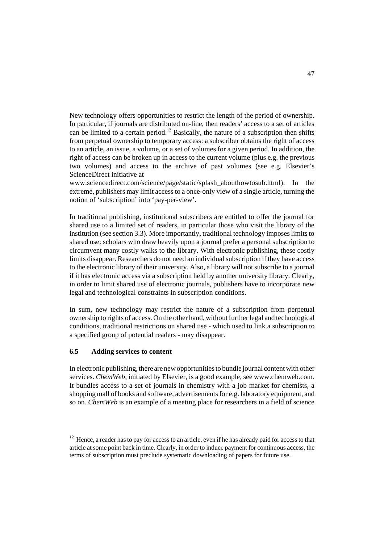New technology offers opportunities to restrict the length of the period of ownership. In particular, if journals are distributed on-line, then readers' access to a set of articles can be limited to a certain period.<sup>12</sup> Basically, the nature of a subscription then shifts from perpetual ownership to temporary access: a subscriber obtains the right of access to an article, an issue, a volume, or a set of volumes for a given period. In addition, the right of access can be broken up in access to the current volume (plus e.g. the previous two volumes) and access to the archive of past volumes (see e.g. Elsevier's ScienceDirect initiative at

www.sciencedirect.com/science/page/static/splash\_abouthowtosub.html). In the extreme, publishers may limit access to a once-only view of a single article, turning the notion of 'subscription' into 'pay-per-view'.

In traditional publishing, institutional subscribers are entitled to offer the journal for shared use to a limited set of readers, in particular those who visit the library of the institution (see section 3.3). More importantly, traditional technology imposes limits to shared use: scholars who draw heavily upon a journal prefer a personal subscription to circumvent many costly walks to the library. With electronic publishing, these costly limits disappear. Researchers do not need an individual subscription if they have access to the electronic library of their university. Also, a library will not subscribe to a journal if it has electronic access via a subscription held by another university library. Clearly, in order to limit shared use of electronic journals, publishers have to incorporate new legal and technological constraints in subscription conditions.

In sum, new technology may restrict the nature of a subscription from perpetual ownership to rights of access. On the other hand, without further legal and technological conditions, traditional restrictions on shared use - which used to link a subscription to a specified group of potential readers - may disappear.

## **6.5 Adding services to content**

In electronic publishing, there are new opportunities to bundle journal content with other services. *ChemWeb*, initiated by Elsevier, is a good example, see www.chemweb.com. It bundles access to a set of journals in chemistry with a job market for chemists, a shopping mall of books and software, advertisements for e.g. laboratory equipment, and so on. *ChemWeb* is an example of a meeting place for researchers in a field of science

<sup>&</sup>lt;sup>12</sup> Hence, a reader has to pay for access to an article, even if he has already paid for access to that article at some point back in time. Clearly, in order to induce payment for continuous access, the terms of subscription must preclude systematic downloading of papers for future use.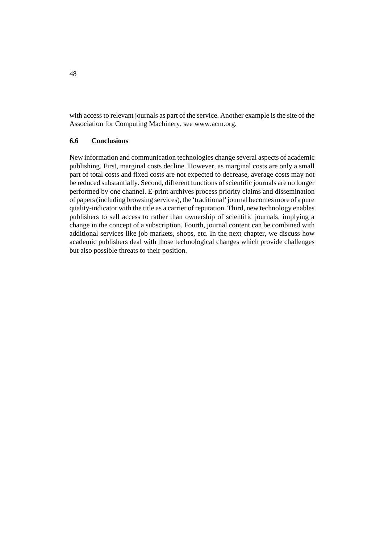with access to relevant journals as part of the service. Another example is the site of the Association for Computing Machinery, see www.acm.org.

## **6.6 Conclusions**

New information and communication technologies change several aspects of academic publishing. First, marginal costs decline. However, as marginal costs are only a small part of total costs and fixed costs are not expected to decrease, average costs may not be reduced substantially. Second, different functions of scientific journals are no longer performed by one channel. E-print archives process priority claims and dissemination of papers (including browsing services), the 'traditional' journal becomes more of a pure quality-indicator with the title as a carrier of reputation. Third, new technology enables publishers to sell access to rather than ownership of scientific journals, implying a change in the concept of a subscription. Fourth, journal content can be combined with additional services like job markets, shops, etc. In the next chapter, we discuss how academic publishers deal with those technological changes which provide challenges but also possible threats to their position.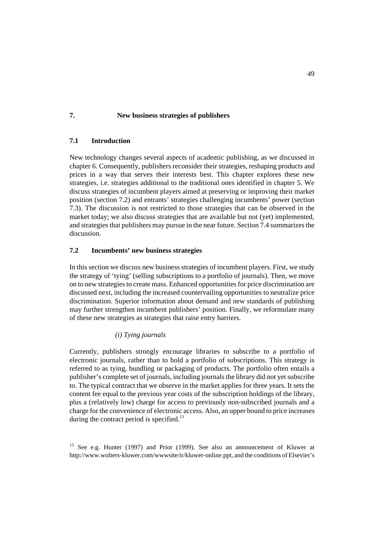## **7. New business strategies of publishers**

## **7.1 Introduction**

New technology changes several aspects of academic publishing, as we discussed in chapter 6. Consequently, publishers reconsider their strategies, reshaping products and prices in a way that serves their interests best. This chapter explores these new strategies, i.e. strategies additional to the traditional ones identified in chapter 5. We discuss strategies of incumbent players aimed at preserving or improving their market position (section 7.2) and entrants' strategies challenging incumbents' power (section 7.3). The discussion is not restricted to those strategies that can be observed in the market today; we also discuss strategies that are available but not (yet) implemented, and strategies that publishers may pursue in the near future. Section 7.4 summarizes the discussion.

## **7.2 Incumbents' new business strategies**

In this section we discuss new business strategies of incumbent players. First, we study the strategy of 'tying' (selling subscriptions to a portfolio of journals). Then, we move on to new strategies to create mass. Enhanced opportunities for price discrimination are discussed next, including the increased countervailing opportunities to neutralize price discrimination. Superior information about demand and new standards of publishing may further strengthen incumbent publishers' position. Finally, we reformulate many of these new strategies as strategies that raise entry barriers.

## *(i) Tying journals*

Currently, publishers strongly encourage libraries to subscribe to a portfolio of electronic journals, rather than to hold a portfolio of subscriptions. This strategy is referred to as tying, bundling or packaging of products. The portfolio often entails a publisher's complete set of journals, including journals the library did not yet subscribe to. The typical contract that we observe in the market applies for three years. It sets the content fee equal to the previous year costs of the subscription holdings of the library, plus a (relatively low) charge for access to previously non-subscribed journals and a charge for the convenience of electronic access. Also, an upper bound to price increases during the contract period is specified.<sup>13</sup>

<sup>&</sup>lt;sup>13</sup> See e.g. Hunter (1997) and Prior (1999). See also an announcement of Kluwer at http://www.wolters-kluwer.com/wwwsite/ir/kluwer-online.ppt, and the conditions of Elsevier's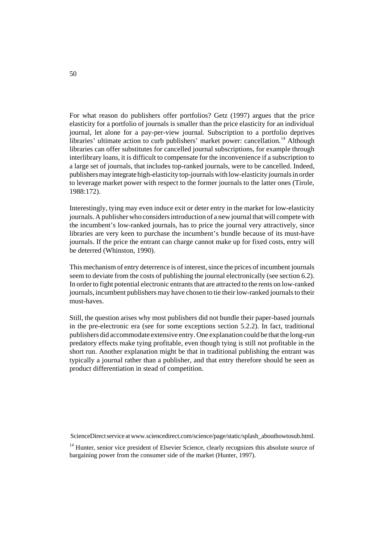For what reason do publishers offer portfolios? Getz (1997) argues that the price elasticity for a portfolio of journals is smaller than the price elasticity for an individual journal, let alone for a pay-per-view journal. Subscription to a portfolio deprives libraries' ultimate action to curb publishers' market power: cancellation.<sup>14</sup> Although libraries can offer substitutes for cancelled journal subscriptions, for example through interlibrary loans, it is difficult to compensate for the inconvenience if a subscription to a large set of journals, that includes top-ranked journals, were to be cancelled. Indeed, publishers may integrate high-elasticity top-journals with low-elasticity journals in order to leverage market power with respect to the former journals to the latter ones (Tirole, 1988:172).

Interestingly, tying may even induce exit or deter entry in the market for low-elasticity journals. A publisher who considers introduction of a new journal that will compete with the incumbent's low-ranked journals, has to price the journal very attractively, since libraries are very keen to purchase the incumbent's bundle because of its must-have journals. If the price the entrant can charge cannot make up for fixed costs, entry will be deterred (Whinston, 1990).

This mechanism of entry deterrence is of interest, since the prices of incumbent journals seem to deviate from the costs of publishing the journal electronically (see section 6.2). In order to fight potential electronic entrants that are attracted to the rents on low-ranked journals, incumbent publishers may have chosen to tie their low-ranked journals to their must-haves.

Still, the question arises why most publishers did not bundle their paper-based journals in the pre-electronic era (see for some exceptions section 5.2.2). In fact, traditional publishers did accommodate extensive entry. One explanation could be that the long-run predatory effects make tying profitable, even though tying is still not profitable in the short run. Another explanation might be that in traditional publishing the entrant was typically a journal rather than a publisher, and that entry therefore should be seen as product differentiation in stead of competition.

ScienceDirect service at www.sciencedirect.com/science/page/static/splash\_abouthowtosub.html.

<sup>14</sup> Hunter, senior vice president of Elsevier Science, clearly recognizes this absolute source of bargaining power from the consumer side of the market (Hunter, 1997).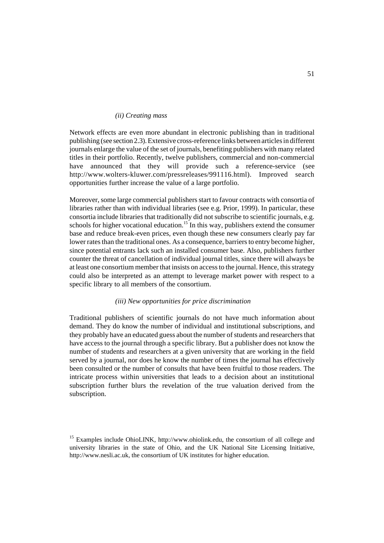#### *(ii) Creating mass*

Network effects are even more abundant in electronic publishing than in traditional publishing (see section 2.3). Extensive cross-reference links between articles in different journals enlarge the value of the set of journals, benefiting publishers with many related titles in their portfolio. Recently, twelve publishers, commercial and non-commercial have announced that they will provide such a reference-service (see http://www.wolters-kluwer.com/pressreleases/991116.html). Improved search opportunities further increase the value of a large portfolio.

Moreover, some large commercial publishers start to favour contracts with consortia of libraries rather than with individual libraries (see e.g. Prior, 1999). In particular, these consortia include libraries that traditionally did not subscribe to scientific journals, e.g. schools for higher vocational education.<sup>15</sup> In this way, publishers extend the consumer base and reduce break-even prices, even though these new consumers clearly pay far lower rates than the traditional ones. As a consequence, barriers to entry become higher, since potential entrants lack such an installed consumer base. Also, publishers further counter the threat of cancellation of individual journal titles, since there will always be at least one consortium member that insists on access to the journal. Hence, this strategy could also be interpreted as an attempt to leverage market power with respect to a specific library to all members of the consortium.

## *(iii) New opportunities for price discrimination*

Traditional publishers of scientific journals do not have much information about demand. They do know the number of individual and institutional subscriptions, and they probably have an educated guess about the number of students and researchers that have access to the journal through a specific library. But a publisher does not know the number of students and researchers at a given university that are working in the field served by a journal, nor does he know the number of times the journal has effectively been consulted or the number of consults that have been fruitful to those readers. The intricate process within universities that leads to a decision about an institutional subscription further blurs the revelation of the true valuation derived from the subscription.

<sup>&</sup>lt;sup>15</sup> Examples include OhioLINK, http://www.ohiolink.edu, the consortium of all college and university libraries in the state of Ohio, and the UK National Site Licensing Initiative, http://www.nesli.ac.uk, the consortium of UK institutes for higher education.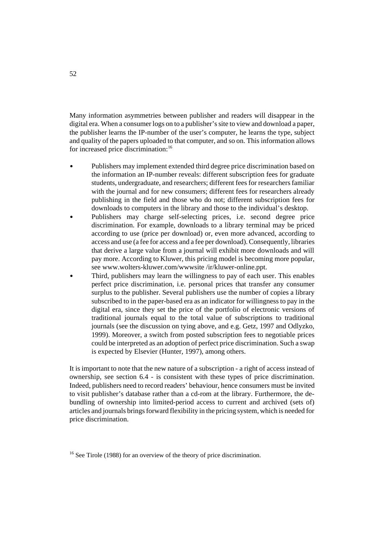Many information asymmetries between publisher and readers will disappear in the digital era. When a consumer logs on to a publisher's site to view and download a paper, the publisher learns the IP-number of the user's computer, he learns the type, subject and quality of the papers uploaded to that computer, and so on. This information allows for increased price discrimination:<sup>16</sup>

- $\bullet$  Publishers may implement extended third degree price discrimination based on the information an IP-number reveals: different subscription fees for graduate students, undergraduate, and researchers; different fees for researchers familiar with the journal and for new consumers; different fees for researchers already publishing in the field and those who do not; different subscription fees for downloads to computers in the library and those to the individual's desktop.  $\mathbf{r}$ 
	- Publishers may charge self-selecting prices, i.e. second degree price discrimination. For example, downloads to a library terminal may be priced according to use (price per download) or, even more advanced, according to access and use (a fee for access and a fee per download). Consequently, libraries that derive a large value from a journal will exhibit more downloads and will pay more. According to Kluwer, this pricing model is becoming more popular, see www.wolters-kluwer.com/wwwsite /ir/kluwer-online.ppt.
- $\overline{a}$  Third, publishers may learn the willingness to pay of each user. This enables perfect price discrimination, i.e. personal prices that transfer any consumer surplus to the publisher. Several publishers use the number of copies a library subscribed to in the paper-based era as an indicator for willingness to pay in the digital era, since they set the price of the portfolio of electronic versions of traditional journals equal to the total value of subscriptions to traditional journals (see the discussion on tying above, and e.g. Getz, 1997 and Odlyzko, 1999). Moreover, a switch from posted subscription fees to negotiable prices could be interpreted as an adoption of perfect price discrimination. Such a swap is expected by Elsevier (Hunter, 1997), among others.

It is important to note that the new nature of a subscription - a right of access instead of ownership, see section 6.4 - is consistent with these types of price discrimination. Indeed, publishers need to record readers' behaviour, hence consumers must be invited to visit publisher's database rather than a cd-rom at the library. Furthermore, the debundling of ownership into limited-period access to current and archived (sets of) articles and journals brings forward flexibility in the pricing system, which is needed for price discrimination.

 $16$  See Tirole (1988) for an overview of the theory of price discrimination.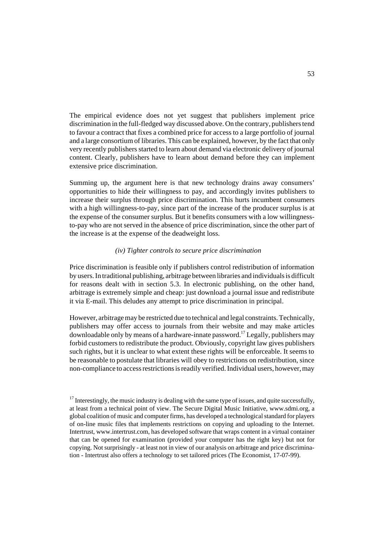The empirical evidence does not yet suggest that publishers implement price discrimination in the full-fledged way discussed above. On the contrary, publishers tend to favour a contract that fixes a combined price for access to a large portfolio of journal and a large consortium of libraries. This can be explained, however, by the fact that only very recently publishers started to learn about demand via electronic delivery of journal content. Clearly, publishers have to learn about demand before they can implement extensive price discrimination.

Summing up, the argument here is that new technology drains away consumers' opportunities to hide their willingness to pay, and accordingly invites publishers to increase their surplus through price discrimination. This hurts incumbent consumers with a high willingness-to-pay, since part of the increase of the producer surplus is at the expense of the consumer surplus. But it benefits consumers with a low willingnessto-pay who are not served in the absence of price discrimination, since the other part of the increase is at the expense of the deadweight loss.

## *(iv) Tighter controls to secure price discrimination*

Price discrimination is feasible only if publishers control redistribution of information by users. In traditional publishing, arbitrage between libraries and individuals is difficult for reasons dealt with in section 5.3. In electronic publishing, on the other hand, arbitrage is extremely simple and cheap: just download a journal issue and redistribute it via E-mail. This deludes any attempt to price discrimination in principal.

However, arbitrage may be restricted due to technical and legal constraints. Technically, publishers may offer access to journals from their website and may make articles downloadable only by means of a hardware-innate password.17 Legally, publishers may forbid customers to redistribute the product. Obviously, copyright law gives publishers such rights, but it is unclear to what extent these rights will be enforceable. It seems to be reasonable to postulate that libraries will obey to restrictions on redistribution, since non-compliance to access restrictions is readily verified. Individual users, however, may

 $17$  Interestingly, the music industry is dealing with the same type of issues, and quite successfully, at least from a technical point of view. The Secure Digital Music Initiative, www.sdmi.org, a global coalition of music and computer firms, has developed a technological standard for players of on-line music files that implements restrictions on copying and uploading to the Internet. Intertrust, www.intertrust.com, has developed software that wraps content in a virtual container that can be opened for examination (provided your computer has the right key) but not for copying. Not surprisingly - at least not in view of our analysis on arbitrage and price discrimination - Intertrust also offers a technology to set tailored prices (The Economist, 17-07-99).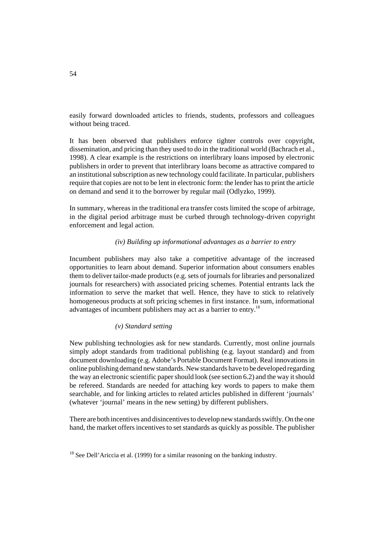easily forward downloaded articles to friends, students, professors and colleagues without being traced.

It has been observed that publishers enforce tighter controls over copyright, dissemination, and pricing than they used to do in the traditional world (Bachrach et al., 1998). A clear example is the restrictions on interlibrary loans imposed by electronic publishers in order to prevent that interlibrary loans become as attractive compared to an institutional subscription as new technology could facilitate. In particular, publishers require that copies are not to be lent in electronic form: the lender has to print the article on demand and send it to the borrower by regular mail (Odlyzko, 1999).

In summary, whereas in the traditional era transfer costs limited the scope of arbitrage, in the digital period arbitrage must be curbed through technology-driven copyright enforcement and legal action.

#### *(iv) Building up informational advantages as a barrier to entry*

Incumbent publishers may also take a competitive advantage of the increased opportunities to learn about demand. Superior information about consumers enables them to deliver tailor-made products (e.g. sets of journals for libraries and personalized journals for researchers) with associated pricing schemes. Potential entrants lack the information to serve the market that well. Hence, they have to stick to relatively homogeneous products at soft pricing schemes in first instance. In sum, informational advantages of incumbent publishers may act as a barrier to entry.<sup>18</sup>

### *(v) Standard setting*

New publishing technologies ask for new standards. Currently, most online journals simply adopt standards from traditional publishing (e.g. layout standard) and from document downloading (e.g. Adobe's Portable Document Format). Real innovations in online publishing demand new standards. New standards have to be developed regarding the way an electronic scientific paper should look (see section 6.2) and the way it should be refereed. Standards are needed for attaching key words to papers to make them searchable, and for linking articles to related articles published in different 'journals' (whatever 'journal' means in the new setting) by different publishers.

There are both incentives and disincentives to develop new standards swiftly. On the one hand, the market offers incentives to set standards as quickly as possible. The publisher

 $18$  See Dell'Ariccia et al. (1999) for a similar reasoning on the banking industry.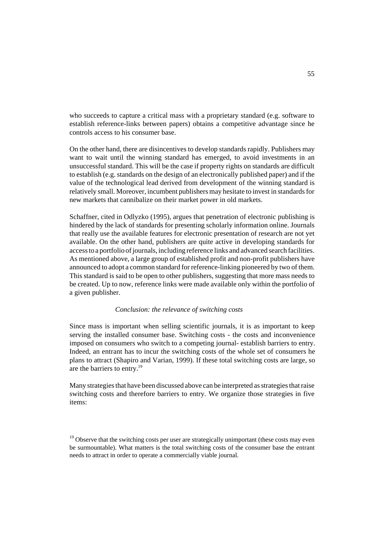who succeeds to capture a critical mass with a proprietary standard (e.g. software to establish reference-links between papers) obtains a competitive advantage since he controls access to his consumer base.

On the other hand, there are disincentives to develop standards rapidly. Publishers may want to wait until the winning standard has emerged, to avoid investments in an unsuccessful standard. This will be the case if property rights on standards are difficult to establish (e.g. standards on the design of an electronically published paper) and if the value of the technological lead derived from development of the winning standard is relatively small. Moreover, incumbent publishers may hesitate to invest in standards for new markets that cannibalize on their market power in old markets.

Schaffner, cited in Odlyzko (1995), argues that penetration of electronic publishing is hindered by the lack of standards for presenting scholarly information online. Journals that really use the available features for electronic presentation of research are not yet available. On the other hand, publishers are quite active in developing standards for access to a portfolio of journals, including reference links and advanced search facilities. As mentioned above, a large group of established profit and non-profit publishers have announced to adopt a common standard for reference-linking pioneered by two of them. This standard is said to be open to other publishers, suggesting that more mass needs to be created. Up to now, reference links were made available only within the portfolio of a given publisher.

#### *Conclusion: the relevance of switching costs*

Since mass is important when selling scientific journals, it is as important to keep serving the installed consumer base. Switching costs - the costs and inconvenience imposed on consumers who switch to a competing journal- establish barriers to entry. Indeed, an entrant has to incur the switching costs of the whole set of consumers he plans to attract (Shapiro and Varian, 1999). If these total switching costs are large, so are the barriers to entry.19

Many strategies that have been discussed above can be interpreted as strategies that raise switching costs and therefore barriers to entry. We organize those strategies in five items:

<sup>&</sup>lt;sup>19</sup> Observe that the switching costs per user are strategically unimportant (these costs may even be surmountable). What matters is the total switching costs of the consumer base the entrant needs to attract in order to operate a commercially viable journal.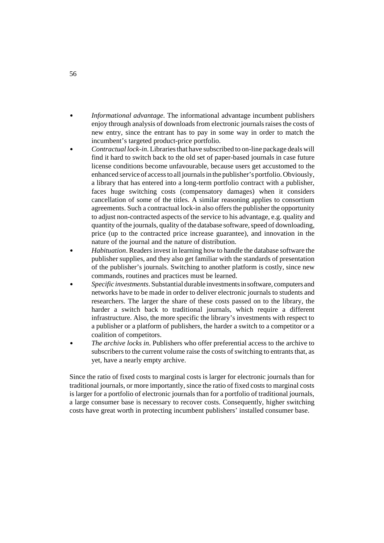- $\overline{a}$  *Informational advantage*. The informational advantage incumbent publishers enjoy through analysis of downloads from electronic journals raises the costs of new entry, since the entrant has to pay in some way in order to match the incumbent's targeted product-price portfolio.
- $\mathbf{r}$  *Contractual lock-in*. Libraries that have subscribed to on-line package deals will find it hard to switch back to the old set of paper-based journals in case future license conditions become unfavourable, because users get accustomed to the enhanced service of access to all journals in the publisher's portfolio. Obviously, a library that has entered into a long-term portfolio contract with a publisher, faces huge switching costs (compensatory damages) when it considers cancellation of some of the titles. A similar reasoning applies to consortium agreements. Such a contractual lock-in also offers the publisher the opportunity to adjust non-contracted aspects of the service to his advantage, e.g. quality and quantity of the journals, quality of the database software, speed of downloading, price (up to the contracted price increase guarantee), and innovation in the nature of the journal and the nature of distribution.
- $\mathbf{r}$  *Habituation*. Readers invest in learning how to handle the database software the publisher supplies, and they also get familiar with the standards of presentation of the publisher's journals. Switching to another platform is costly, since new commands, routines and practices must be learned.
- $\overline{a}$  *Specific investments*. Substantial durable investments in software, computers and networks have to be made in order to deliver electronic journals to students and researchers. The larger the share of these costs passed on to the library, the harder a switch back to traditional journals, which require a different infrastructure. Also, the more specific the library's investments with respect to a publisher or a platform of publishers, the harder a switch to a competitor or a coalition of competitors.
- $\overline{a}$  *The archive locks in*. Publishers who offer preferential access to the archive to subscribers to the current volume raise the costs of switching to entrants that, as yet, have a nearly empty archive.

Since the ratio of fixed costs to marginal costs is larger for electronic journals than for traditional journals, or more importantly, since the ratio of fixed costs to marginal costs is larger for a portfolio of electronic journals than for a portfolio of traditional journals, a large consumer base is necessary to recover costs. Consequently, higher switching costs have great worth in protecting incumbent publishers' installed consumer base.

56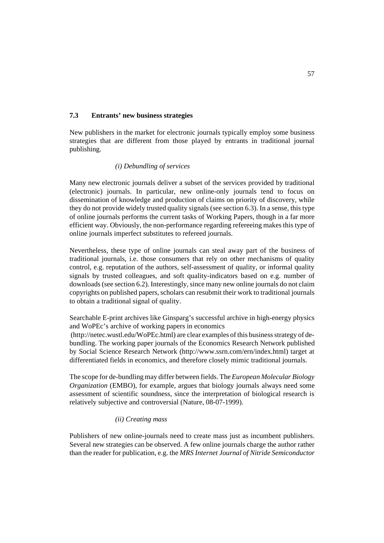## **7.3 Entrants' new business strategies**

New publishers in the market for electronic journals typically employ some business strategies that are different from those played by entrants in traditional journal publishing.

## *(i) Debundling of services*

Many new electronic journals deliver a subset of the services provided by traditional (electronic) journals. In particular, new online-only journals tend to focus on dissemination of knowledge and production of claims on priority of discovery, while they do not provide widely trusted quality signals (see section 6.3). In a sense, this type of online journals performs the current tasks of Working Papers, though in a far more efficient way. Obviously, the non-performance regarding refereeing makes this type of online journals imperfect substitutes to refereed journals.

Nevertheless, these type of online journals can steal away part of the business of traditional journals, i.e. those consumers that rely on other mechanisms of quality control, e.g. reputation of the authors, self-assessment of quality, or informal quality signals by trusted colleagues, and soft quality-indicators based on e.g. number of downloads (see section 6.2). Interestingly, since many new online journals do not claim copyrights on published papers, scholars can resubmit their work to traditional journals to obtain a traditional signal of quality.

Searchable E-print archives like Ginsparg's successful archive in high-energy physics and WoPEc's archive of working papers in economics (http://netec.wustl.edu/WoPEc.html) are clear examples of this business strategy of debundling. The working paper journals of the Economics Research Network published

by Social Science Research Network (http://www.ssrn.com/ern/index.html) target at differentiated fields in economics, and therefore closely mimic traditional journals.

The scope for de-bundling may differ between fields. The *European Molecular Biology Organization* (EMBO), for example, argues that biology journals always need some assessment of scientific soundness, since the interpretation of biological research is relatively subjective and controversial (Nature, 08-07-1999).

#### *(ii) Creating mass*

Publishers of new online-journals need to create mass just as incumbent publishers. Several new strategies can be observed. A few online journals charge the author rather than the reader for publication, e.g. the *MRS Internet Journal of Nitride Semiconductor*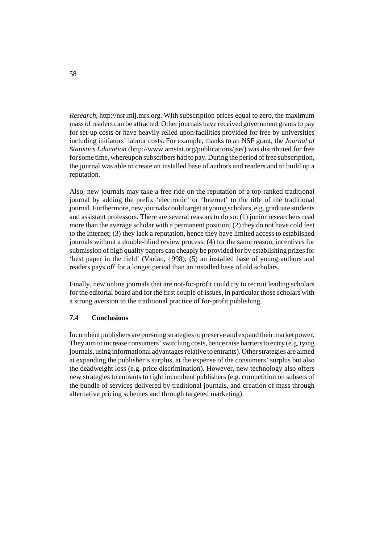*Research*, http://nsr.mij.mrs.org. With subscription prices equal to zero, the maximum mass of readers can be attracted. Other journals have received government grants to pay for set-up costs or have heavily relied upon facilities provided for free by universities including initiators' labour costs. For example, thanks to an NSF grant, the *Journal of Statistics Education* (http://www.amstat.org/publications/jse/) was distributed for free for some time, whereupon subscribers had to pay. During the period of free subscription, the journal was able to create an installed base of authors and readers and to build up a reputation.

Also, new journals may take a free ride on the reputation of a top-ranked traditional journal by adding the prefix 'electronic' or 'Internet' to the title of the traditional journal. Furthermore, new journals could target at young scholars, e.g. graduate students and assistant professors. There are several reasons to do so: (1) junior researchers read more than the average scholar with a permanent position; (2) they do not have cold feet to the Internet; (3) they lack a reputation, hence they have limited access to established journals without a double-blind review process; (4) for the same reason, incentives for submission of high quality papers can cheaply be provided for by establishing prizes for 'best paper in the field' (Varian, 1998); (5) an installed base of young authors and readers pays off for a longer period than an installed base of old scholars.

Finally, new online journals that are not-for-profit could try to recruit leading scholars for the editorial board and for the first couple of issues, in particular those scholars with a strong aversion to the traditional practice of for-profit publishing.

## **7.4 Conclusions**

Incumbent publishers are pursuing strategies to preserve and expand their market power. They aim to increase consumers' switching costs, hence raise barriers to entry (e.g. tying journals, using informational advantages relative to entrants). Other strategies are aimed at expanding the publisher's surplus, at the expense of the consumers' surplus but also the deadweight loss (e.g. price discrimination). However, new technology also offers new strategies to entrants to fight incumbent publishers (e.g. competition on subsets of the bundle of services delivered by traditional journals, and creation of mass through alternative pricing schemes and through targeted marketing).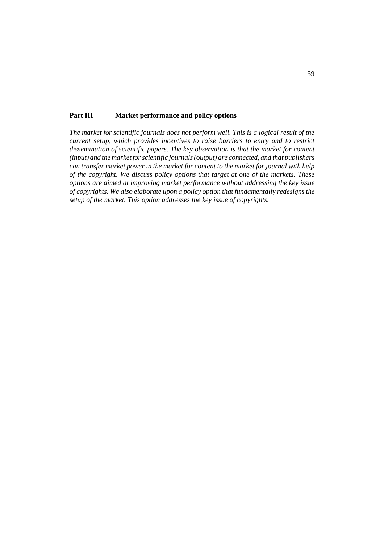#### **Part III Market performance and policy options**

*The market for scientific journals does not perform well. This is a logical result of the current setup, which provides incentives to raise barriers to entry and to restrict dissemination of scientific papers. The key observation is that the market for content (input) and the market for scientific journals (output) are connected, and that publishers can transfer market power in the market for content to the market for journal with help of the copyright. We discuss policy options that target at one of the markets. These options are aimed at improving market performance without addressing the key issue of copyrights. We also elaborate upon a policy option that fundamentally redesigns the setup of the market. This option addresses the key issue of copyrights.*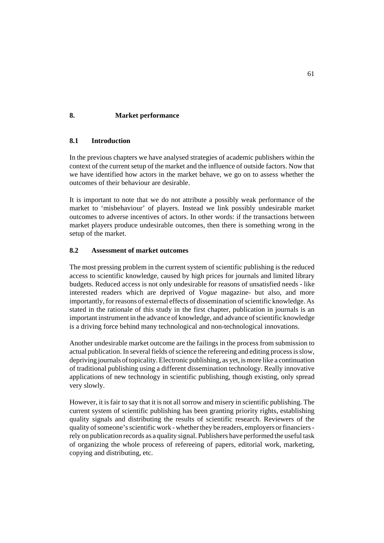# **8. Market performance**

## **8.1 Introduction**

In the previous chapters we have analysed strategies of academic publishers within the context of the current setup of the market and the influence of outside factors. Now that we have identified how actors in the market behave, we go on to assess whether the outcomes of their behaviour are desirable.

It is important to note that we do not attribute a possibly weak performance of the market to 'misbehaviour' of players. Instead we link possibly undesirable market outcomes to adverse incentives of actors. In other words: if the transactions between market players produce undesirable outcomes, then there is something wrong in the setup of the market.

### **8.2 Assessment of market outcomes**

The most pressing problem in the current system of scientific publishing is the reduced access to scientific knowledge, caused by high prices for journals and limited library budgets. Reduced access is not only undesirable for reasons of unsatisfied needs - like interested readers which are deprived of *Vogue* magazine- but also, and more importantly, for reasons of external effects of dissemination of scientific knowledge. As stated in the rationale of this study in the first chapter, publication in journals is an important instrument in the advance of knowledge, and advance of scientific knowledge is a driving force behind many technological and non-technological innovations.

Another undesirable market outcome are the failings in the process from submission to actual publication. In several fields of science the refereeing and editing process is slow, depriving journals of topicality. Electronic publishing, as yet, is more like a continuation of traditional publishing using a different dissemination technology. Really innovative applications of new technology in scientific publishing, though existing, only spread very slowly.

However, it is fair to say that it is not all sorrow and misery in scientific publishing. The current system of scientific publishing has been granting priority rights, establishing quality signals and distributing the results of scientific research. Reviewers of the quality of someone's scientific work - whether they be readers, employers or financiers rely on publication records as a quality signal. Publishers have performed the useful task of organizing the whole process of refereeing of papers, editorial work, marketing, copying and distributing, etc.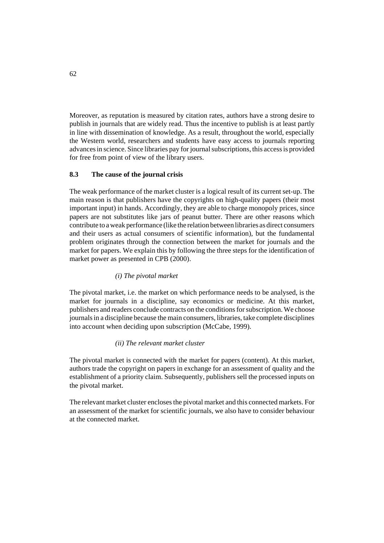Moreover, as reputation is measured by citation rates, authors have a strong desire to publish in journals that are widely read. Thus the incentive to publish is at least partly in line with dissemination of knowledge. As a result, throughout the world, especially the Western world, researchers and students have easy access to journals reporting advances in science. Since libraries pay for journal subscriptions, this access is provided for free from point of view of the library users.

## **8.3 The cause of the journal crisis**

The weak performance of the market cluster is a logical result of its current set-up. The main reason is that publishers have the copyrights on high-quality papers (their most important input) in hands. Accordingly, they are able to charge monopoly prices, since papers are not substitutes like jars of peanut butter. There are other reasons which contribute to a weak performance (like the relation between libraries as direct consumers and their users as actual consumers of scientific information), but the fundamental problem originates through the connection between the market for journals and the market for papers. We explain this by following the three steps for the identification of market power as presented in CPB (2000).

#### *(i) The pivotal market*

The pivotal market, i.e. the market on which performance needs to be analysed, is the market for journals in a discipline, say economics or medicine. At this market, publishers and readers conclude contracts on the conditions for subscription. We choose journals in a discipline because the main consumers, libraries, take complete disciplines into account when deciding upon subscription (McCabe, 1999).

### *(ii) The relevant market cluster*

The pivotal market is connected with the market for papers (content). At this market, authors trade the copyright on papers in exchange for an assessment of quality and the establishment of a priority claim. Subsequently, publishers sell the processed inputs on the pivotal market.

The relevant market cluster encloses the pivotal market and this connected markets. For an assessment of the market for scientific journals, we also have to consider behaviour at the connected market.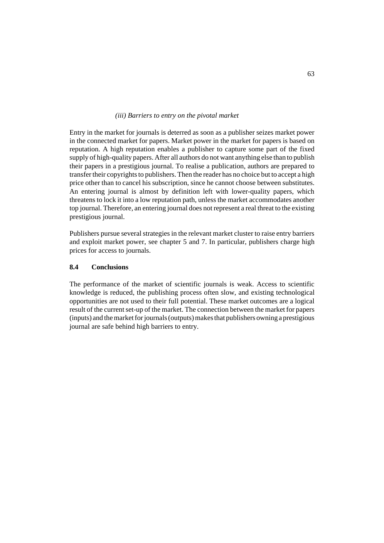#### *(iii) Barriers to entry on the pivotal market*

Entry in the market for journals is deterred as soon as a publisher seizes market power in the connected market for papers. Market power in the market for papers is based on reputation. A high reputation enables a publisher to capture some part of the fixed supply of high-quality papers. After all authors do not want anything else than to publish their papers in a prestigious journal. To realise a publication, authors are prepared to transfer their copyrights to publishers. Then the reader has no choice but to accept a high price other than to cancel his subscription, since he cannot choose between substitutes. An entering journal is almost by definition left with lower-quality papers, which threatens to lock it into a low reputation path, unless the market accommodates another top journal. Therefore, an entering journal does not represent a real threat to the existing prestigious journal.

Publishers pursue several strategies in the relevant market cluster to raise entry barriers and exploit market power, see chapter 5 and 7. In particular, publishers charge high prices for access to journals.

### **8.4 Conclusions**

The performance of the market of scientific journals is weak. Access to scientific knowledge is reduced, the publishing process often slow, and existing technological opportunities are not used to their full potential. These market outcomes are a logical result of the current set-up of the market. The connection between the market for papers (inputs) and the market for journals (outputs) makes that publishers owning a prestigious journal are safe behind high barriers to entry.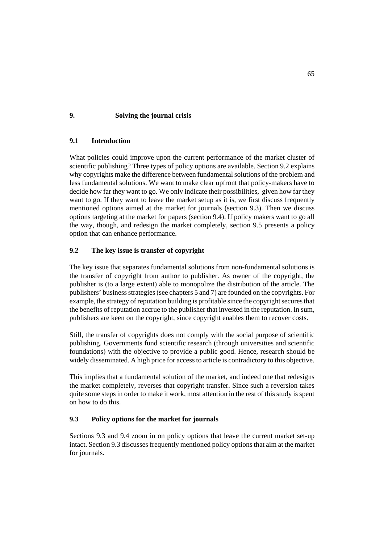# **9. Solving the journal crisis**

## **9.1 Introduction**

What policies could improve upon the current performance of the market cluster of scientific publishing? Three types of policy options are available. Section 9.2 explains why copyrights make the difference between fundamental solutions of the problem and less fundamental solutions. We want to make clear upfront that policy-makers have to decide how far they want to go. We only indicate their possibilities, given how far they want to go. If they want to leave the market setup as it is, we first discuss frequently mentioned options aimed at the market for journals (section 9.3). Then we discuss options targeting at the market for papers (section 9.4). If policy makers want to go all the way, though, and redesign the market completely, section 9.5 presents a policy option that can enhance performance.

# **9.2 The key issue is transfer of copyright**

The key issue that separates fundamental solutions from non-fundamental solutions is the transfer of copyright from author to publisher. As owner of the copyright, the publisher is (to a large extent) able to monopolize the distribution of the article. The publishers' business strategies (see chapters 5 and 7) are founded on the copyrights. For example, the strategy of reputation building is profitable since the copyright secures that the benefits of reputation accrue to the publisher that invested in the reputation. In sum, publishers are keen on the copyright, since copyright enables them to recover costs.

Still, the transfer of copyrights does not comply with the social purpose of scientific publishing. Governments fund scientific research (through universities and scientific foundations) with the objective to provide a public good. Hence, research should be widely disseminated. A high price for access to article is contradictory to this objective.

This implies that a fundamental solution of the market, and indeed one that redesigns the market completely, reverses that copyright transfer. Since such a reversion takes quite some steps in order to make it work, most attention in the rest of this study is spent on how to do this.

## **9.3 Policy options for the market for journals**

Sections 9.3 and 9.4 zoom in on policy options that leave the current market set-up intact. Section 9.3 discusses frequently mentioned policy options that aim at the market for journals.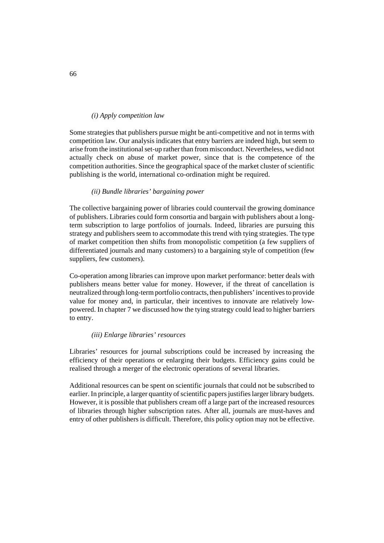### *(i) Apply competition law*

Some strategies that publishers pursue might be anti-competitive and not in terms with competition law. Our analysis indicates that entry barriers are indeed high, but seem to arise from the institutional set-up rather than from misconduct. Nevertheless, we did not actually check on abuse of market power, since that is the competence of the competition authorities. Since the geographical space of the market cluster of scientific publishing is the world, international co-ordination might be required.

#### *(ii) Bundle libraries' bargaining power*

The collective bargaining power of libraries could countervail the growing dominance of publishers. Libraries could form consortia and bargain with publishers about a longterm subscription to large portfolios of journals. Indeed, libraries are pursuing this strategy and publishers seem to accommodate this trend with tying strategies. The type of market competition then shifts from monopolistic competition (a few suppliers of differentiated journals and many customers) to a bargaining style of competition (few suppliers, few customers).

Co-operation among libraries can improve upon market performance: better deals with publishers means better value for money. However, if the threat of cancellation is neutralized through long-term portfolio contracts, then publishers' incentives to provide value for money and, in particular, their incentives to innovate are relatively lowpowered. In chapter 7 we discussed how the tying strategy could lead to higher barriers to entry.

#### *(iii) Enlarge libraries' resources*

Libraries' resources for journal subscriptions could be increased by increasing the efficiency of their operations or enlarging their budgets. Efficiency gains could be realised through a merger of the electronic operations of several libraries.

Additional resources can be spent on scientific journals that could not be subscribed to earlier. In principle, a larger quantity of scientific papers justifies larger library budgets. However, it is possible that publishers cream off a large part of the increased resources of libraries through higher subscription rates. After all, journals are must-haves and entry of other publishers is difficult. Therefore, this policy option may not be effective.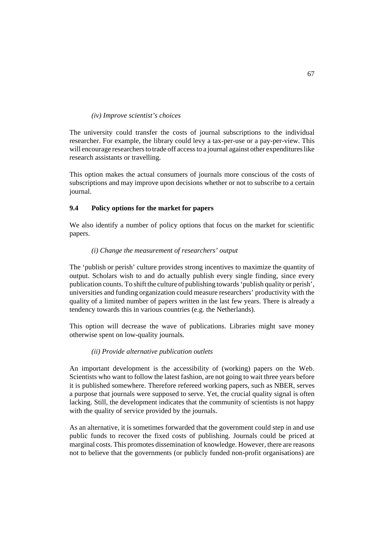### *(iv) Improve scientist's choices*

The university could transfer the costs of journal subscriptions to the individual researcher. For example, the library could levy a tax-per-use or a pay-per-view. This will encourage researchers to trade off access to a journal against other expenditures like research assistants or travelling.

This option makes the actual consumers of journals more conscious of the costs of subscriptions and may improve upon decisions whether or not to subscribe to a certain journal.

## **9.4 Policy options for the market for papers**

We also identify a number of policy options that focus on the market for scientific papers.

## *(i) Change the measurement of researchers' output*

The 'publish or perish' culture provides strong incentives to maximize the quantity of output. Scholars wish to and do actually publish every single finding, since every publication counts. To shift the culture of publishing towards 'publish quality or perish', universities and funding organization could measure researchers' productivity with the quality of a limited number of papers written in the last few years. There is already a tendency towards this in various countries (e.g. the Netherlands).

This option will decrease the wave of publications. Libraries might save money otherwise spent on low-quality journals.

#### *(ii) Provide alternative publication outlets*

An important development is the accessibility of (working) papers on the Web. Scientists who want to follow the latest fashion, are not going to wait three years before it is published somewhere. Therefore refereed working papers, such as NBER, serves a purpose that journals were supposed to serve. Yet, the crucial quality signal is often lacking. Still, the development indicates that the community of scientists is not happy with the quality of service provided by the journals.

As an alternative, it is sometimes forwarded that the government could step in and use public funds to recover the fixed costs of publishing. Journals could be priced at marginal costs. This promotes dissemination of knowledge. However, there are reasons not to believe that the governments (or publicly funded non-profit organisations) are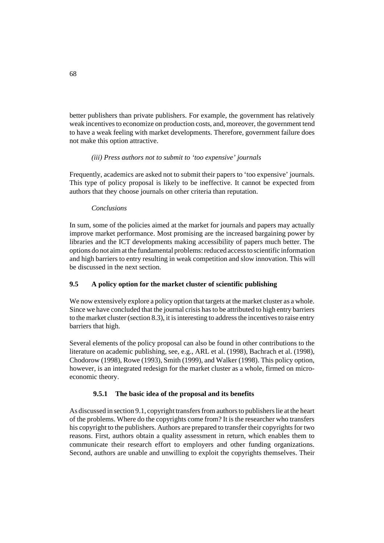better publishers than private publishers. For example, the government has relatively weak incentives to economize on production costs, and, moreover, the government tend to have a weak feeling with market developments. Therefore, government failure does not make this option attractive.

## *(iii) Press authors not to submit to 'too expensive' journals*

Frequently, academics are asked not to submit their papers to 'too expensive' journals. This type of policy proposal is likely to be ineffective. It cannot be expected from authors that they choose journals on other criteria than reputation.

## *Conclusions*

In sum, some of the policies aimed at the market for journals and papers may actually improve market performance. Most promising are the increased bargaining power by libraries and the ICT developments making accessibility of papers much better. The options do not aim at the fundamental problems: reduced access to scientific information and high barriers to entry resulting in weak competition and slow innovation. This will be discussed in the next section.

## **9.5 A policy option for the market cluster of scientific publishing**

We now extensively explore a policy option that targets at the market cluster as a whole. Since we have concluded that the journal crisis has to be attributed to high entry barriers to the market cluster (section 8.3), it is interesting to address the incentives to raise entry barriers that high.

Several elements of the policy proposal can also be found in other contributions to the literature on academic publishing, see, e.g., ARL et al. (1998), Bachrach et al. (1998), Chodorow (1998), Rowe (1993), Smith (1999), and Walker (1998). This policy option, however, is an integrated redesign for the market cluster as a whole, firmed on microeconomic theory.

## **9.5.1 The basic idea of the proposal and its benefits**

As discussed in section 9.1, copyright transfers from authors to publishers lie at the heart of the problems. Where do the copyrights come from? It is the researcher who transfers his copyright to the publishers. Authors are prepared to transfer their copyrights for two reasons. First, authors obtain a quality assessment in return, which enables them to communicate their research effort to employers and other funding organizations. Second, authors are unable and unwilling to exploit the copyrights themselves. Their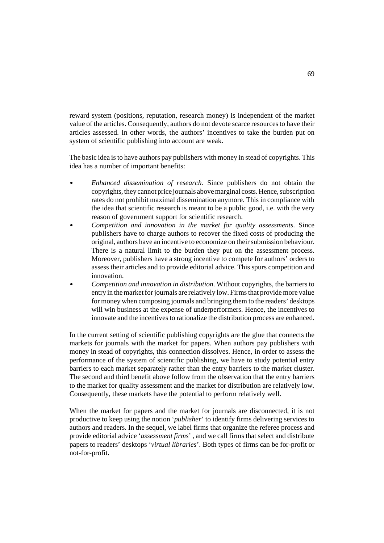reward system (positions, reputation, research money) is independent of the market value of the articles. Consequently, authors do not devote scarce resources to have their articles assessed. In other words, the authors' incentives to take the burden put on system of scientific publishing into account are weak.

The basic idea is to have authors pay publishers with money in stead of copyrights. This idea has a number of important benefits:

- $\overline{a}$  *Enhanced dissemination of research.* Since publishers do not obtain the copyrights, they cannot price journals above marginal costs. Hence, subscription rates do not prohibit maximal dissemination anymore. This in compliance with the idea that scientific research is meant to be a public good, i.e. with the very reason of government support for scientific research.
- $\mathbf{r}$  *Competition and innovation in the market for quality assessments.* Since publishers have to charge authors to recover the fixed costs of producing the original, authors have an incentive to economize on their submission behaviour. There is a natural limit to the burden they put on the assessment process. Moreover, publishers have a strong incentive to compete for authors' orders to assess their articles and to provide editorial advice. This spurs competition and innovation.
- $\overline{a}$  *Competition and innovation in distribution.* Without copyrights, the barriers to entry in the market for journals are relatively low. Firms that provide more value for money when composing journals and bringing them to the readers' desktops will win business at the expense of underperformers. Hence, the incentives to innovate and the incentives to rationalize the distribution process are enhanced.

In the current setting of scientific publishing copyrights are the glue that connects the markets for journals with the market for papers. When authors pay publishers with money in stead of copyrights, this connection dissolves. Hence, in order to assess the performance of the system of scientific publishing, we have to study potential entry barriers to each market separately rather than the entry barriers to the market cluster. The second and third benefit above follow from the observation that the entry barriers to the market for quality assessment and the market for distribution are relatively low. Consequently, these markets have the potential to perform relatively well.

When the market for papers and the market for journals are disconnected, it is not productive to keep using the notion '*publisher*' to identify firms delivering services to authors and readers. In the sequel, we label firms that organize the referee process and provide editorial advice '*assessment firms*' , and we call firms that select and distribute papers to readers' desktops '*virtual libraries*'. Both types of firms can be for-profit or not-for-profit.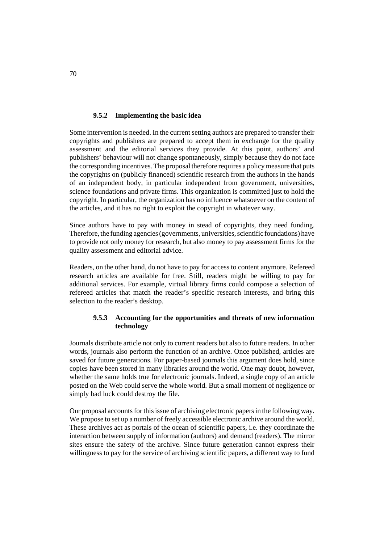## **9.5.2 Implementing the basic idea**

Some intervention is needed. In the current setting authors are prepared to transfer their copyrights and publishers are prepared to accept them in exchange for the quality assessment and the editorial services they provide. At this point, authors' and publishers' behaviour will not change spontaneously, simply because they do not face the corresponding incentives. The proposal therefore requires a policy measure that puts the copyrights on (publicly financed) scientific research from the authors in the hands of an independent body, in particular independent from government, universities, science foundations and private firms. This organization is committed just to hold the copyright. In particular, the organization has no influence whatsoever on the content of the articles, and it has no right to exploit the copyright in whatever way.

Since authors have to pay with money in stead of copyrights, they need funding. Therefore, the funding agencies (governments, universities, scientific foundations) have to provide not only money for research, but also money to pay assessment firms for the quality assessment and editorial advice.

Readers, on the other hand, do not have to pay for access to content anymore. Refereed research articles are available for free. Still, readers might be willing to pay for additional services. For example, virtual library firms could compose a selection of refereed articles that match the reader's specific research interests, and bring this selection to the reader's desktop.

# **9.5.3 Accounting for the opportunities and threats of new information technology**

Journals distribute article not only to current readers but also to future readers. In other words, journals also perform the function of an archive. Once published, articles are saved for future generations. For paper-based journals this argument does hold, since copies have been stored in many libraries around the world. One may doubt, however, whether the same holds true for electronic journals. Indeed, a single copy of an article posted on the Web could serve the whole world. But a small moment of negligence or simply bad luck could destroy the file.

Our proposal accounts for this issue of archiving electronic papers in the following way. We propose to set up a number of freely accessible electronic archive around the world. These archives act as portals of the ocean of scientific papers, i.e. they coordinate the interaction between supply of information (authors) and demand (readers). The mirror sites ensure the safety of the archive. Since future generation cannot express their willingness to pay for the service of archiving scientific papers, a different way to fund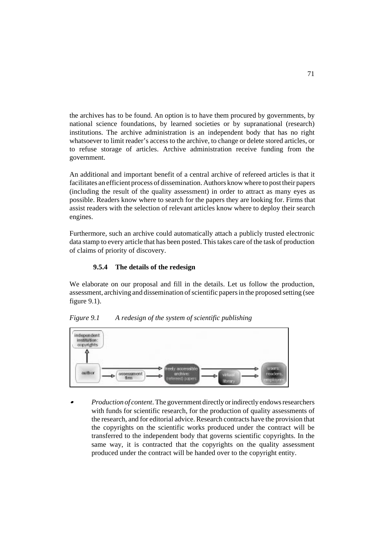the archives has to be found. An option is to have them procured by governments, by national science foundations, by learned societies or by supranational (research) institutions. The archive administration is an independent body that has no right whatsoever to limit reader's access to the archive, to change or delete stored articles, or to refuse storage of articles. Archive administration receive funding from the government.

An additional and important benefit of a central archive of refereed articles is that it facilitates an efficient process of dissemination. Authors know where to post their papers (including the result of the quality assessment) in order to attract as many eyes as possible. Readers know where to search for the papers they are looking for. Firms that assist readers with the selection of relevant articles know where to deploy their search engines.

Furthermore, such an archive could automatically attach a publicly trusted electronic data stamp to every article that has been posted. This takes care of the task of production of claims of priority of discovery.

## **9.5.4 The details of the redesign**

We elaborate on our proposal and fill in the details. Let us follow the production, assessment, archiving and dissemination of scientific papers in the proposed setting (see figure 9.1).





 $\overline{a}$  *Production of content*. The government directly or indirectly endows researchers with funds for scientific research, for the production of quality assessments of the research, and for editorial advice. Research contracts have the provision that the copyrights on the scientific works produced under the contract will be transferred to the independent body that governs scientific copyrights. In the same way, it is contracted that the copyrights on the quality assessment produced under the contract will be handed over to the copyright entity.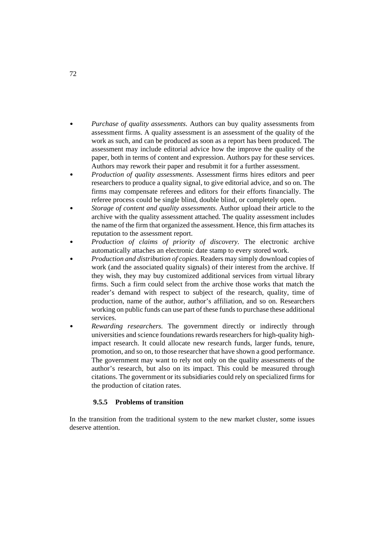- $\overline{a}$  *Purchase of quality assessments*. Authors can buy quality assessments from assessment firms. A quality assessment is an assessment of the quality of the work as such, and can be produced as soon as a report has been produced. The assessment may include editorial advice how the improve the quality of the paper, both in terms of content and expression. Authors pay for these services. Authors may rework their paper and resubmit it for a further assessment.
- $\mathbf{r}$  *Production of quality assessments*. Assessment firms hires editors and peer researchers to produce a quality signal, to give editorial advice, and so on. The firms may compensate referees and editors for their efforts financially. The referee process could be single blind, double blind, or completely open.
- $\overline{a}$  *Storage of content and quality assessments.* Author upload their article to the archive with the quality assessment attached. The quality assessment includes the name of the firm that organized the assessment. Hence, this firm attaches its reputation to the assessment report.
- $\mathbf{r}$  *Production of claims of priority of discovery.* The electronic archive automatically attaches an electronic date stamp to every stored work.
- $\overline{a}$  *Production and distribution of copies.* Readers may simply download copies of work (and the associated quality signals) of their interest from the archive. If they wish, they may buy customized additional services from virtual library firms. Such a firm could select from the archive those works that match the reader's demand with respect to subject of the research, quality, time of production, name of the author, author's affiliation, and so on. Researchers working on public funds can use part of these funds to purchase these additional services.  $\mathbf{r}$
- *Rewarding researchers.* The government directly or indirectly through universities and science foundations rewards researchers for high-quality highimpact research. It could allocate new research funds, larger funds, tenure, promotion, and so on, to those researcher that have shown a good performance. The government may want to rely not only on the quality assessments of the author's research, but also on its impact. This could be measured through citations. The government or its subsidiaries could rely on specialized firms for the production of citation rates.

## **9.5.5 Problems of transition**

In the transition from the traditional system to the new market cluster, some issues deserve attention.

72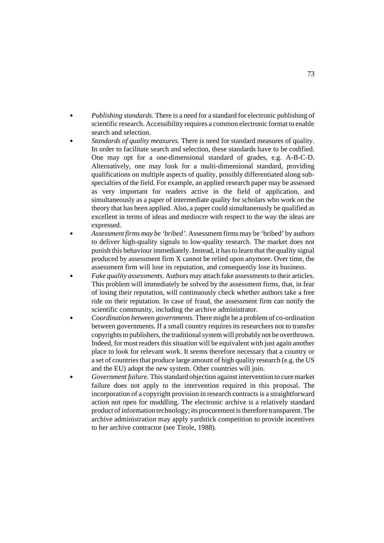- $\overline{a}$  *Publishing standards.* There is a need for a standard for electronic publishing of scientific research. Accessibility requires a common electronic format to enable search and selection.
- $\mathbf{r}$  *Standards of quality measures.* There is need for standard measures of quality. In order to facilitate search and selection, these standards have to be codified. One may opt for a one-dimensional standard of grades, e.g. A-B-C-D. Alternatively, one may look for a multi-dimensional standard, providing qualifications on multiple aspects of quality, possibly differentiated along subspecialties of the field. For example, an applied research paper may be assessed as very important for readers active in the field of application, and simultaneously as a paper of intermediate quality for scholars who work on the theory that has been applied. Also, a paper could simultaneously be qualified as excellent in terms of ideas and mediocre with respect to the way the ideas are expressed.
- $\mathbf{r}$  *Assessment firms may be 'bribed'.* Assessment firms may be 'bribed' by authors to deliver high-quality signals to low-quality research. The market does not punish this behaviour immediately. Instead, it has to learn that the quality signal produced by assessment firm X cannot be relied upon anymore. Over time, the assessment firm will lose its reputation, and consequently lose its business.
- $\overline{a}$  *Fake quality assessments.* Authors may attach fake assessments to their articles. This problem will immediately be solved by the assessment firms, that, in fear of losing their reputation, will continuously check whether authors take a free ride on their reputation. In case of fraud, the assessment firm can notify the scientific community, including the archive administrator.  $\mathbf{r}$
- *Coordination between governments.* There might be a problem of co-ordination between governments. If a small country requires its researchers not to transfer copyrights to publishers, the traditional system will probably not be overthrown. Indeed, for most readers this situation will be equivalent with just again another place to look for relevant work. It seems therefore necessary that a country or a set of countries that produce large amount of high quality research (e.g. the US and the EU) adopt the new system. Other countries will join.  $\mathbf{r}$ 
	- *Government failure.* This standard objection against intervention to cure market failure does not apply to the intervention required in this proposal. The incorporation of a copyright provision in research contracts is a straightforward action not open for muddling. The electronic archive is a relatively standard product of information technology; its procurement is therefore transparent. The archive administration may apply yardstick competition to provide incentives to her archive contractor (see Tirole, 1988).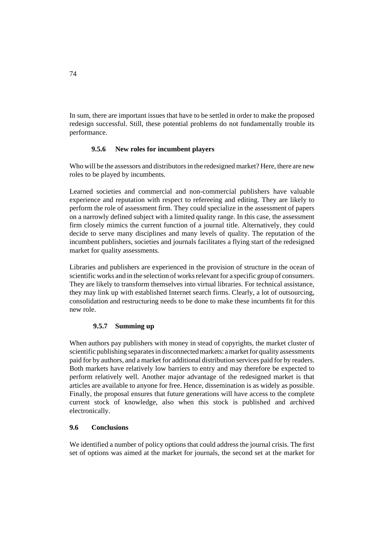In sum, there are important issues that have to be settled in order to make the proposed redesign successful. Still, these potential problems do not fundamentally trouble its performance.

## **9.5.6 New roles for incumbent players**

Who will be the assessors and distributors in the redesigned market? Here, there are new roles to be played by incumbents.

Learned societies and commercial and non-commercial publishers have valuable experience and reputation with respect to refereeing and editing. They are likely to perform the role of assessment firm. They could specialize in the assessment of papers on a narrowly defined subject with a limited quality range. In this case, the assessment firm closely mimics the current function of a journal title. Alternatively, they could decide to serve many disciplines and many levels of quality. The reputation of the incumbent publishers, societies and journals facilitates a flying start of the redesigned market for quality assessments.

Libraries and publishers are experienced in the provision of structure in the ocean of scientific works and in the selection of works relevant for a specific group of consumers. They are likely to transform themselves into virtual libraries. For technical assistance, they may link up with established Internet search firms. Clearly, a lot of outsourcing, consolidation and restructuring needs to be done to make these incumbents fit for this new role.

# **9.5.7 Summing up**

When authors pay publishers with money in stead of copyrights, the market cluster of scientific publishing separates in disconnected markets: a market for quality assessments paid for by authors, and a market for additional distribution services paid for by readers. Both markets have relatively low barriers to entry and may therefore be expected to perform relatively well. Another major advantage of the redesigned market is that articles are available to anyone for free. Hence, dissemination is as widely as possible. Finally, the proposal ensures that future generations will have access to the complete current stock of knowledge, also when this stock is published and archived electronically.

## **9.6 Conclusions**

We identified a number of policy options that could address the journal crisis. The first set of options was aimed at the market for journals, the second set at the market for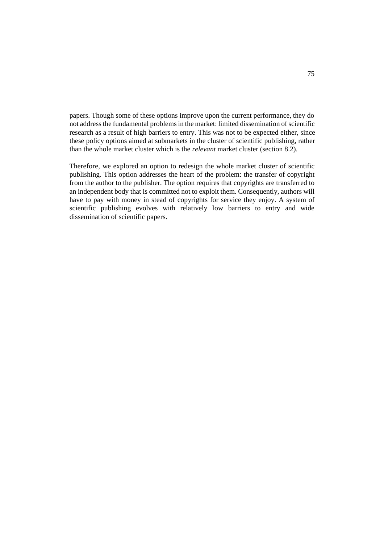papers. Though some of these options improve upon the current performance, they do not address the fundamental problems in the market: limited dissemination of scientific research as a result of high barriers to entry. This was not to be expected either, since these policy options aimed at submarkets in the cluster of scientific publishing, rather than the whole market cluster which is the *relevant* market cluster (section 8.2).

Therefore, we explored an option to redesign the whole market cluster of scientific publishing. This option addresses the heart of the problem: the transfer of copyright from the author to the publisher. The option requires that copyrights are transferred to an independent body that is committed not to exploit them. Consequently, authors will have to pay with money in stead of copyrights for service they enjoy. A system of scientific publishing evolves with relatively low barriers to entry and wide dissemination of scientific papers.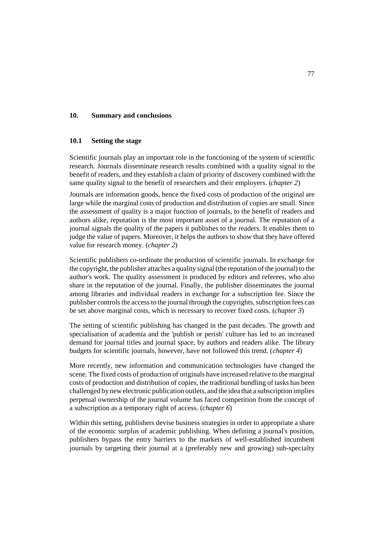### **10. Summary and conclusions**

#### **10.1 Setting the stage**

Scientific journals play an important role in the functioning of the system of scientific research. Journals disseminate research results combined with a quality signal to the benefit of readers, and they establish a claim of priority of discovery combined with the same quality signal to the benefit of researchers and their employers. (*chapter 2*)

Journals are information goods, hence the fixed costs of production of the original are large while the marginal costs of production and distribution of copies are small. Since the assessment of quality is a major function of journals, to the benefit of readers and authors alike, reputation is the most important asset of a journal. The reputation of a journal signals the quality of the papers it publishes to the readers. It enables them to judge the value of papers. Moreover, it helps the authors to show that they have offered value for research money. (*chapter 2*)

Scientific publishers co-ordinate the production of scientific journals. In exchange for the copyright, the publisher attaches a quality signal (the reputation of the journal) to the author's work. The quality assessment is produced by editors and referees, who also share in the reputation of the journal. Finally, the publisher disseminates the journal among libraries and individual readers in exchange for a subscription fee. Since the publisher controls the access to the journal through the copyrights, subscription fees can be set above marginal costs, which is necessary to recover fixed costs. (*chapter 3*)

The setting of scientific publishing has changed in the past decades. The growth and specialisation of academia and the 'publish or perish' culture has led to an increased demand for journal titles and journal space, by authors and readers alike. The library budgets for scientific journals, however, have not followed this trend. (*chapter 4*)

More recently, new information and communication technologies have changed the scene. The fixed costs of production of originals have increased relative to the marginal costs of production and distribution of copies, the traditional bundling of tasks has been challenged by new electronic publication outlets, and the idea that a subscription implies perpetual ownership of the journal volume has faced competition from the concept of a subscription as a temporary right of access. (*chapter 6*)

Within this setting, publishers devise business strategies in order to appropriate a share of the economic surplus of academic publishing. When defining a journal's position, publishers bypass the entry barriers to the markets of well-established incumbent journals by targeting their journal at a (preferably new and growing) sub-specialty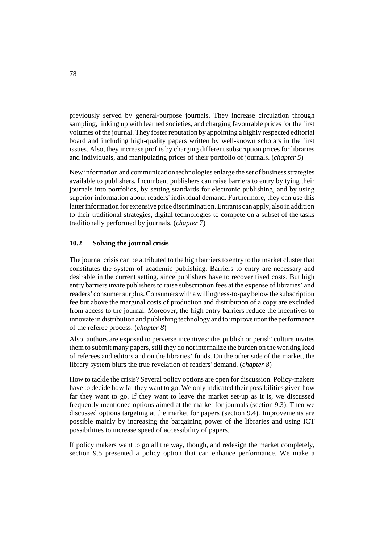previously served by general-purpose journals. They increase circulation through sampling, linking up with learned societies, and charging favourable prices for the first volumes of the journal. They foster reputation by appointing a highly respected editorial board and including high-quality papers written by well-known scholars in the first issues. Also, they increase profits by charging different subscription prices for libraries and individuals, and manipulating prices of their portfolio of journals. (*chapter 5*)

New information and communication technologies enlarge the set of business strategies available to publishers. Incumbent publishers can raise barriers to entry by tying their journals into portfolios, by setting standards for electronic publishing, and by using superior information about readers' individual demand. Furthermore, they can use this latter information for extensive price discrimination. Entrants can apply, also in addition to their traditional strategies, digital technologies to compete on a subset of the tasks traditionally performed by journals. (*chapter 7*)

## **10.2 Solving the journal crisis**

The journal crisis can be attributed to the high barriers to entry to the market cluster that constitutes the system of academic publishing. Barriers to entry are necessary and desirable in the current setting, since publishers have to recover fixed costs. But high entry barriers invite publishers to raise subscription fees at the expense of libraries' and readers' consumer surplus. Consumers with a willingness-to-pay below the subscription fee but above the marginal costs of production and distribution of a copy are excluded from access to the journal. Moreover, the high entry barriers reduce the incentives to innovate in distribution and publishing technology and to improve upon the performance of the referee process. (*chapter 8*)

Also, authors are exposed to perverse incentives: the 'publish or perish' culture invites them to submit many papers, still they do not internalize the burden on the working load of referees and editors and on the libraries' funds. On the other side of the market, the library system blurs the true revelation of readers' demand. (*chapter 8*)

How to tackle the crisis? Several policy options are open for discussion. Policy-makers have to decide how far they want to go. We only indicated their possibilities given how far they want to go. If they want to leave the market set-up as it is, we discussed frequently mentioned options aimed at the market for journals (section 9.3). Then we discussed options targeting at the market for papers (section 9.4). Improvements are possible mainly by increasing the bargaining power of the libraries and using ICT possibilities to increase speed of accessibility of papers.

If policy makers want to go all the way, though, and redesign the market completely, section 9.5 presented a policy option that can enhance performance. We make a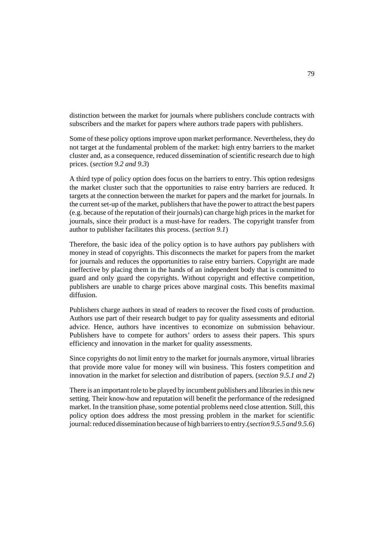distinction between the market for journals where publishers conclude contracts with subscribers and the market for papers where authors trade papers with publishers.

Some of these policy options improve upon market performance. Nevertheless, they do not target at the fundamental problem of the market: high entry barriers to the market cluster and, as a consequence, reduced dissemination of scientific research due to high prices. (*section 9.2 and 9.3*)

A third type of policy option does focus on the barriers to entry. This option redesigns the market cluster such that the opportunities to raise entry barriers are reduced. It targets at the connection between the market for papers and the market for journals. In the current set-up of the market, publishers that have the power to attract the best papers (e.g. because of the reputation of their journals) can charge high prices in the market for journals, since their product is a must-have for readers. The copyright transfer from author to publisher facilitates this process. (*section 9.1*)

Therefore, the basic idea of the policy option is to have authors pay publishers with money in stead of copyrights. This disconnects the market for papers from the market for journals and reduces the opportunities to raise entry barriers. Copyright are made ineffective by placing them in the hands of an independent body that is committed to guard and only guard the copyrights. Without copyright and effective competition, publishers are unable to charge prices above marginal costs. This benefits maximal diffusion.

Publishers charge authors in stead of readers to recover the fixed costs of production. Authors use part of their research budget to pay for quality assessments and editorial advice. Hence, authors have incentives to economize on submission behaviour. Publishers have to compete for authors' orders to assess their papers. This spurs efficiency and innovation in the market for quality assessments.

Since copyrights do not limit entry to the market for journals anymore, virtual libraries that provide more value for money will win business. This fosters competition and innovation in the market for selection and distribution of papers. (*section 9.5.1 and 2*)

There is an important role to be played by incumbent publishers and libraries in this new setting. Their know-how and reputation will benefit the performance of the redesigned market. In the transition phase, some potential problems need close attention. Still, this policy option does address the most pressing problem in the market for scientific journal: reduced dissemination because of high barriers to entry.(*section 9.5.5 and 9.5.6*)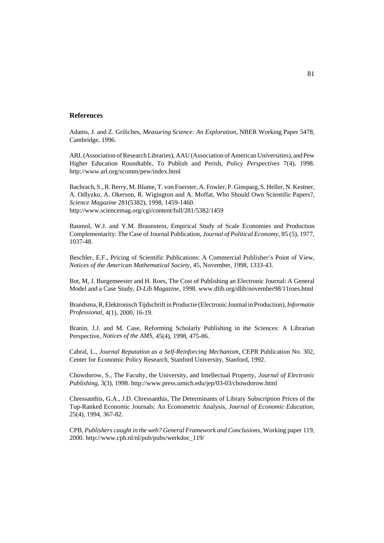#### **References**

Adams, J. and Z. Griliches, *Measuring Science: An Exploration*, NBER Working Paper 5478, Cambridge, 1996.

ARL (Association of Research Libraries), AAU (Association of American Universities), and Pew Higher Education Roundtable, To Publish and Perish, *Policy Perspectives* 7(4), 1998. http://www.arl.org/scomm/pew/index.html

Bachrach, S., R. Berry, M. Blume, T. von Foerster, A. Fowler, P. Ginsparg, S. Heller, N. Kestner, A. Odlyzko, A. Okerson, R. Wigington and A. Moffat, Who Should Own Scientific Papers?, *Science Magazine* 281(5382), 1998, 1459-1460. http://www.sciencemag.org/cgi/content/full/281/5382/1459

Baumol, W.J. and Y.M. Braunstein, Empirical Study of Scale Economies and Production Complementarity: The Case of Journal Publication, *Journal of Political Economy*, 85 (5), 1977, 1037-48.

Beschler, E.F., Pricing of Scientific Publications: A Commercial Publisher's Point of View, *Notices of the American Mathematical Society*, 45, November, 1998, 1333-43.

Bot, M, J. Burgemeester and H. Roes, The Cost of Publishing an Electronic Journal: A General Model and a Case Study, *D-Lib Magazine*, 1998. www.dlib.org/dlib/november98/11roes.html

Brandsma, R, Elektronisch Tijdschrift in Productie (Electronic Journal in Production), *Informatie Professional*, 4(1), 2000, 16-19.

Branin, J.J. and M. Case, Reforming Scholarly Publishing in the Sciences: A Librarian Perspective, *Notices of the AMS*, 45(4), 1998, 475-86.

Cabral, L., *Journal Reputation as a Self-Reinforcing Mechanism*, CEPR Publication No. 302, Center for Economic Policy Research, Stanford University, Stanford, 1992.

Chowdorow, S., The Faculty, the University, and Intellectual Property, *Journal of Electronic Publishing*, 3(3), 1998. http://www.press.umich.edu/jep/03-03/chowdorow.html

Chressanthis, G.A., J.D. Chressanthis, The Determinants of Library Subscription Prices of the Top-Ranked Economic Journals: An Econometric Analysis, *Journal of Economic Education*, 25(4), 1994, 367-82.

CPB, *Publishers caught in the web? General Framework and Conclusions*, Working paper 119, 2000. http://www.cpb.nl/nl/pub/pubs/werkdoc\_119/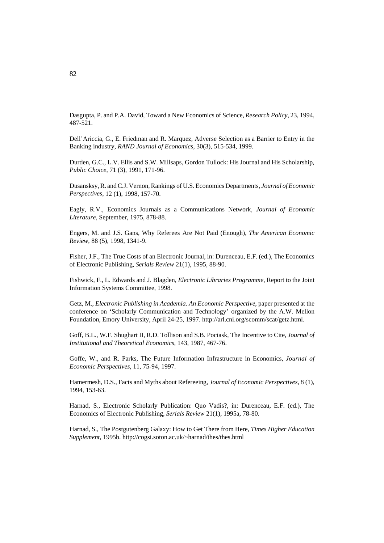Dasgupta, P. and P.A. David, Toward a New Economics of Science, *Research Policy*, 23, 1994, 487-521.

Dell'Ariccia, G., E. Friedman and R. Marquez, Adverse Selection as a Barrier to Entry in the Banking industry, *RAND Journal of Economics*, 30(3), 515-534, 1999.

Durden, G.C., L.V. Ellis and S.W. Millsaps, Gordon Tullock: His Journal and His Scholarship, *Public Choice*, 71 (3), 1991, 171-96.

Dusansksy, R. and C.J. Vernon, Rankings of U.S. Economics Departments, *Journal of Economic Perspectives*, 12 (1), 1998, 157-70.

Eagly, R.V., Economics Journals as a Communications Network, *Journal of Economic Literature*, September, 1975, 878-88.

Engers, M. and J.S. Gans, Why Referees Are Not Paid (Enough), *The American Economic Review*, 88 (5), 1998, 1341-9.

Fisher, J.F., The True Costs of an Electronic Journal, in: Durenceau, E.F. (ed.), The Economics of Electronic Publishing, *Serials Review* 21(1), 1995, 88-90.

Fishwick, F., L. Edwards and J. Blagden, *Electronic Libraries Programme*, Report to the Joint Information Systems Committee, 1998.

Getz, M., *Electronic Publishing in Academia. An Economic Perspective*, paper presented at the conference on 'Scholarly Communication and Technology' organized by the A.W. Mellon Foundation, Emory University, April 24-25, 1997. http://arl.cni.org/scomm/scat/getz.html.

Goff, B.L., W.F. Shughart II, R.D. Tollison and S.B. Pociask, The Incentive to Cite, *Journal of Institutional and Theoretical Economics*, 143, 1987, 467-76.

Goffe, W., and R. Parks, The Future Information Infrastructure in Economics, *Journal of Economic Perspectives*, 11, 75-94, 1997.

Hamermesh, D.S., Facts and Myths about Refereeing, *Journal of Economic Perspectives*, 8 (1), 1994, 153-63.

Harnad, S., Electronic Scholarly Publication: Quo Vadis?, in: Durenceau, E.F. (ed.), The Economics of Electronic Publishing, *Serials Review* 21(1), 1995a, 78-80.

Harnad, S., The Postgutenberg Galaxy: How to Get There from Here, *Times Higher Education Supplement*, 1995b. http://cogsi.soton.ac.uk/~harnad/thes/thes.html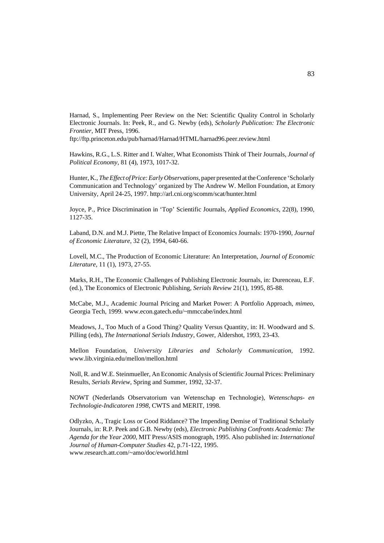Harnad, S., Implementing Peer Review on the Net: Scientific Quality Control in Scholarly Electronic Journals. In: Peek, R., and G. Newby (eds), *Scholarly Publication: The Electronic Frontier*, MIT Press, 1996.

ftp://ftp.princeton.edu/pub/harnad/Harnad/HTML/harnad96.peer.review.html

Hawkins, R.G., L.S. Ritter and I. Walter, What Economists Think of Their Journals, *Journal of Political Economy*, 81 (4), 1973, 1017-32.

Hunter, K., *The Effect of Price: Early Observations*, paper presented at the Conference 'Scholarly Communication and Technology' organized by The Andrew W. Mellon Foundation, at Emory University, April 24-25, 1997. http://arl.cni.org/scomm/scat/hunter.html

Joyce, P., Price Discrimination in 'Top' Scientific Journals, *Applied Economics*, 22(8), 1990, 1127-35.

Laband, D.N. and M.J. Piette, The Relative Impact of Economics Journals: 1970-1990, *Journal of Economic Literature*, 32 (2), 1994, 640-66.

Lovell, M.C., The Production of Economic Literature: An Interpretation, *Journal of Economic Literature*, 11 (1), 1973, 27-55.

Marks, R.H., The Economic Challenges of Publishing Electronic Journals, in: Durenceau, E.F. (ed.), The Economics of Electronic Publishing, *Serials Review* 21(1), 1995, 85-88.

McCabe, M.J., Academic Journal Pricing and Market Power: A Portfolio Approach, *mimeo*, Georgia Tech, 1999. www.econ.gatech.edu/~mmccabe/index.html

Meadows, J., Too Much of a Good Thing? Quality Versus Quantity, in: H. Woodward and S. Pilling (eds), *The International Serials Industry*, Gower, Aldershot, 1993, 23-43.

Mellon Foundation, *University Libraries and Scholarly Communication*, 1992. www.lib.virginia.edu/mellon/mellon.html

Noll, R. and W.E. Steinmueller, An Economic Analysis of Scientific Journal Prices: Preliminary Results, *Serials Review*, Spring and Summer, 1992, 32-37.

NOWT (Nederlands Observatorium van Wetenschap en Technologie), *Wetenschaps- en Technologie-Indicatoren 1998*, CWTS and MERIT, 1998.

Odlyzko, A., Tragic Loss or Good Riddance? The Impending Demise of Traditional Scholarly Journals, in: R.P. Peek and G.B. Newby (eds), *Electronic Publishing Confronts Academia: The Agenda for the Year 2000*, MIT Press/ASIS monograph, 1995. Also published in: *International Journal of Human-Computer Studies* 42, p.71-122, 1995. www.research.att.com/~amo/doc/eworld.html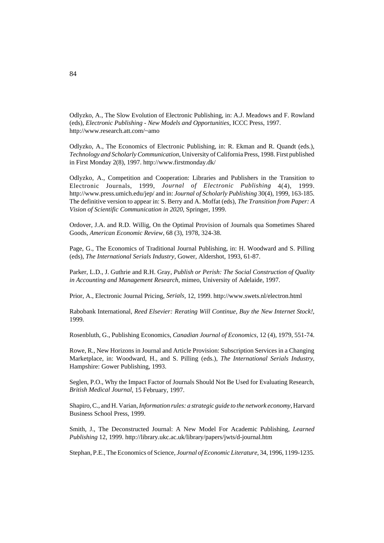Odlyzko, A., The Slow Evolution of Electronic Publishing, in: A.J. Meadows and F. Rowland (eds), *Electronic Publishing - New Models and Opportunities*, ICCC Press, 1997. http://www.research.att.com/~amo

Odlyzko, A., The Economics of Electronic Publishing, in: R. Ekman and R. Quandt (eds.), *Technology and Scholarly Communication*, University of California Press, 1998. First published in First Monday 2(8), 1997. http://www.firstmonday.dk/

Odlyzko, A., Competition and Cooperation: Libraries and Publishers in the Transition to Electronic Journals, 1999, *Journal of Electronic Publishing* 4(4), 1999. http://www.press.umich.edu/jep/ and in: *Journal of Scholarly Publishing* 30(4), 1999, 163-185. The definitive version to appear in: S. Berry and A. Moffat (eds), *The Transition from Paper: A Vision of Scientific Communication in 2020*, Springer, 1999.

Ordover, J.A. and R.D. Willig, On the Optimal Provision of Journals qua Sometimes Shared Goods, *American Economic Review*, 68 (3), 1978, 324-38.

Page, G., The Economics of Traditional Journal Publishing, in: H. Woodward and S. Pilling (eds), *The International Serials Industry*, Gower, Aldershot, 1993, 61-87.

Parker, L.D., J. Guthrie and R.H. Gray, *Publish or Perish: The Social Construction of Quality in Accounting and Management Research*, mimeo, University of Adelaide, 1997.

Prior, A., Electronic Journal Pricing, *Serials*, 12, 1999. http://www.swets.nl/electron.html

Rabobank International, *Reed Elsevier: Rerating Will Continue, Buy the New Internet Stock!*, 1999.

Rosenbluth, G., Publishing Economics, *Canadian Journal of Economics*, 12 (4), 1979, 551-74.

Rowe, R., New Horizons in Journal and Article Provision: Subscription Services in a Changing Marketplace, in: Woodward, H., and S. Pilling (eds.), *The International Serials Industry*, Hampshire: Gower Publishing, 1993.

Seglen, P.O., Why the Impact Factor of Journals Should Not Be Used for Evaluating Research, *British Medical Journal*, 15 February, 1997.

Shapiro, C., and H. Varian, *Information rules: a strategic guide to the network economy*, Harvard Business School Press, 1999.

Smith, J., The Deconstructed Journal: A New Model For Academic Publishing, *Learned Publishing* 12, 1999. http://library.ukc.ac.uk/library/papers/jwts/d-journal.htm

Stephan, P.E., The Economics of Science, *Journal of Economic Literature*, 34, 1996, 1199-1235.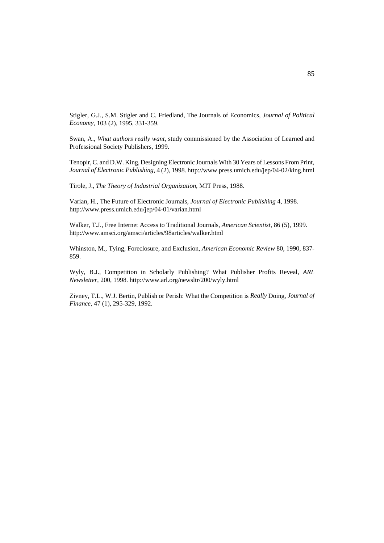Stigler, G.J., S.M. Stigler and C. Friedland, The Journals of Economics, *Journal of Political Economy*, 103 (2), 1995, 331-359.

Swan, A., *What authors really want*, study commissioned by the Association of Learned and Professional Society Publishers, 1999.

Tenopir, C. and D.W. King, Designing Electronic Journals With 30 Years of Lessons From Print, *Journal of Electronic Publishing*, 4 (2), 1998. http://www.press.umich.edu/jep/04-02/king.html

Tirole, J., *The Theory of Industrial Organization*, MIT Press, 1988.

Varian, H., The Future of Electronic Journals, *Journal of Electronic Publishing* 4, 1998. http://www.press.umich.edu/jep/04-01/varian.html

Walker, T.J., Free Internet Access to Traditional Journals, *American Scientist*, 86 (5), 1999. http://www.amsci.org/amsci/articles/98articles/walker.html

Whinston, M., Tying, Foreclosure, and Exclusion, *American Economic Review* 80, 1990, 837- 859.

Wyly, B.J., Competition in Scholarly Publishing? What Publisher Profits Reveal, *ARL Newsletter*, 200, 1998. http://www.arl.org/newsltr/200/wyly.html

Zivney, T.L., W.J. Bertin, Publish or Perish: What the Competition is *Really* Doing, *Journal of Finance*, 47 (1), 295-329, 1992.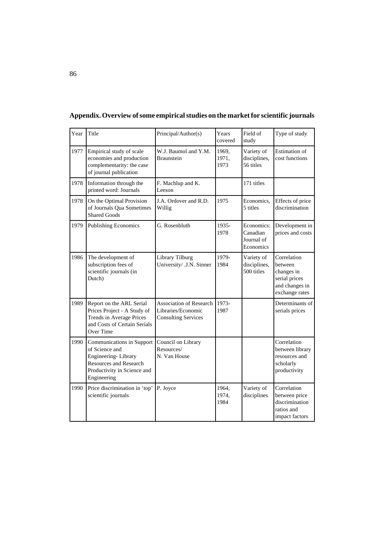| Year | Title                                                                                                                                             | Principal/Author(s)                                                                | Years<br>covered       | Field of<br>study                                 | Type of study                                                                             |
|------|---------------------------------------------------------------------------------------------------------------------------------------------------|------------------------------------------------------------------------------------|------------------------|---------------------------------------------------|-------------------------------------------------------------------------------------------|
| 1977 | Empirical study of scale<br>economies and production<br>complementarity: the case<br>of journal publication                                       | W.J. Baumol and Y.M.<br><b>Braunstein</b>                                          | 1969,<br>1971,<br>1973 | Variety of<br>disciplines,<br>56 titles           | <b>Estimation</b> of<br>cost functions                                                    |
| 1978 | Information through the<br>printed word: Journals                                                                                                 | F. Machlup and K.<br>Leeson                                                        |                        | 171 titles                                        |                                                                                           |
| 1978 | On the Optimal Provision<br>of Journals Qua Sometimes<br><b>Shared Goods</b>                                                                      | J.A. Ordover and R.D.<br>Willig                                                    | 1975                   | Economics.<br>5 titles                            | Effects of price<br>discrimination                                                        |
| 1979 | <b>Publishing Economics</b>                                                                                                                       | G. Rosenbluth                                                                      | 1935-<br>1978          | Economics:<br>Canadian<br>Journal of<br>Economics | Development in<br>prices and costs                                                        |
| 1986 | The development of<br>subscription fees of<br>scientific journals (in<br>Dutch)                                                                   | Library Tilburg<br>University/ .J.N. Sinner                                        | 1979-<br>1984          | Variety of<br>disciplines,<br>500 titles          | Correlation<br>between<br>changes in<br>serial prices<br>and changes in<br>exchange rates |
| 1989 | Report on the ARL Serial<br>Prices Project - A Study of<br>Trends in Average Prices<br>and Costs of Certain Serials<br>Over Time                  | <b>Association of Research</b><br>Libraries/Economic<br><b>Consulting Services</b> | 1973-<br>1987          |                                                   | Determinants of<br>serials prices                                                         |
| 1990 | Communications in Support<br>of Science and<br>Engineering-Library<br><b>Resources and Research</b><br>Productivity in Science and<br>Engineering | Council on Library<br>Resources/<br>N. Van House                                   |                        |                                                   | Correlation<br>between library<br>resources and<br>scholarly<br>productivity              |
| 1990 | Price discrimination in 'top'<br>scientific journals                                                                                              | P. Joyce                                                                           | 1964,<br>1974,<br>1984 | Variety of<br>disciplines                         | Correlation<br>between price<br>discrimination<br>ratios and<br>impact factors            |

**Appendix. Overview of some empirical studies on the market for scientific journals**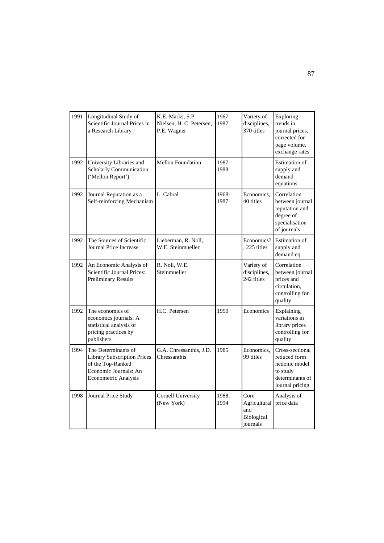| 1991 | Longitudinal Study of<br>Scientific Journal Prices in<br>a Research Library                                                     | K.E. Marks, S.P.<br>Nielsen, H. C. Petersen,<br>P.E. Wagner | 1967-<br>1987 | Variety of<br>disciplines,<br>370 titles              | Exploring<br>trends in<br>journal prices.<br>corrected for<br>page volume,<br>exchange rates       |
|------|---------------------------------------------------------------------------------------------------------------------------------|-------------------------------------------------------------|---------------|-------------------------------------------------------|----------------------------------------------------------------------------------------------------|
| 1992 | University Libraries and<br>Scholarly Communication<br>('Mellon Report')                                                        | <b>Mellon Foundation</b>                                    | 1987-<br>1988 |                                                       | <b>Estimation</b> of<br>supply and<br>demand<br>equations                                          |
| 1992 | Journal Reputation as a<br>Self-reinforcing Mechanism                                                                           | L. Cabral                                                   | 1968-<br>1987 | Economics,<br>40 titles                               | Correlation<br>between journal<br>reputation and<br>degree of<br>specialisation<br>of journals     |
| 1992 | The Sources of Scientific<br>Journal Price Increase                                                                             | Lieberman, R. Noll,<br>W.E. Steinmueller                    |               | Economics?<br>, 225 titles                            | <b>Estimation</b> of<br>supply and<br>demand eq.                                                   |
| 1992 | An Economic Analysis of<br>Scientific Journal Prices:<br><b>Preliminary Results</b>                                             | R. Noll, W.E.<br>Steinmueller                               |               | Variety of<br>disciplines,<br>242 titles              | Correlation<br>between journal<br>prices and<br>circulation.<br>controlling for<br>quality         |
| 1992 | The economics of<br>economics journals: A<br>statistical analysis of<br>pricing practices by<br>publishers                      | H.C. Petersen                                               | 1990          | Economics                                             | Explaining<br>variations in<br>library prices<br>controlling for<br>quality                        |
| 1994 | The Determinants of<br><b>Library Subscription Prices</b><br>of the Top-Ranked<br>Economic Journals: An<br>Econometric Analysis | G.A. Chressanthis, J.D.<br>Chressanthis                     | 1985          | Economics.<br>99 titles                               | Cross-sectional<br>reduced form<br>hedonic model<br>to study<br>determinants of<br>journal pricing |
| 1998 | Journal Price Study                                                                                                             | <b>Cornell University</b><br>(New York)                     | 1988,<br>1994 | Core<br>Agricultural<br>and<br>Biological<br>journals | Analysis of<br>price data                                                                          |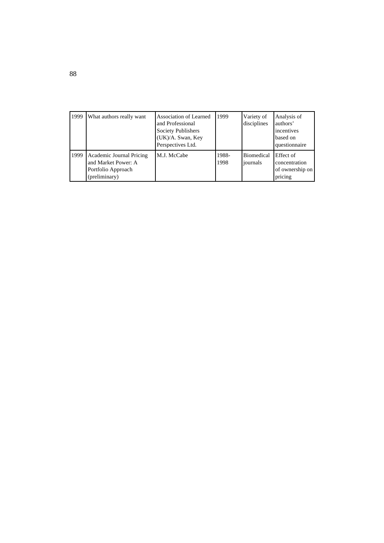| 1999 | What authors really want                                                               | Association of Learned<br>and Professional<br>Society Publishers<br>(UK)/A. Swan, Key<br>Perspectives Ltd. | 1999          | Variety of<br>disciplines     | Analysis of<br>authors'<br>incentives<br>based on<br>questionnaire |
|------|----------------------------------------------------------------------------------------|------------------------------------------------------------------------------------------------------------|---------------|-------------------------------|--------------------------------------------------------------------|
| 1999 | Academic Journal Pricing<br>and Market Power: A<br>Portfolio Approach<br>(preliminary) | M.J. McCabe                                                                                                | 1988-<br>1998 | <b>Biomedical</b><br>journals | Effect of<br>concentration<br>of ownership on<br>pricing           |